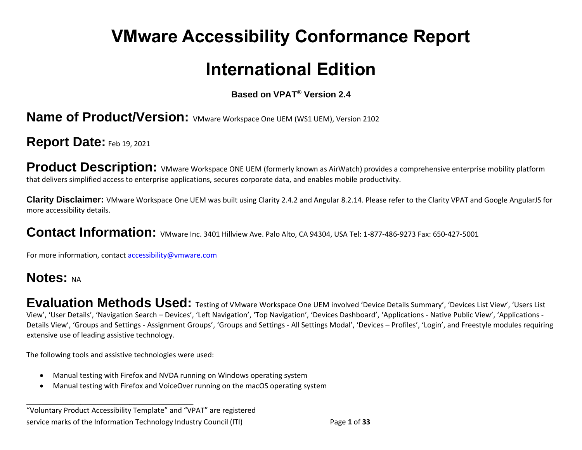# **VMware Accessibility Conformance Report**

# **International Edition**

#### **Based on VPAT® Version 2.4**

#### **Name of Product/Version:** VMware Workspace One UEM (WS1 UEM), Version 2102

#### **Report Date:** Feb 19, 2021

**Product Description:** VMware Workspace ONE UEM (formerly known as AirWatch) provides a comprehensive enterprise mobility platform that delivers simplified access to enterprise applications, secures corporate data, and enables mobile productivity.

**Clarity Disclaimer:** VMware Workspace One UEM was built using Clarity 2.4.2 and Angular 8.2.14. Please refer to the Clarity VPAT and Google AngularJS for more accessibility details.

#### Contact Information: VMware Inc. 3401 Hillview Ave. Palo Alto, CA 94304, USA Tel: 1-877-486-9273 Fax: 650-427-5001

For more information, contact [accessibility@vmware.com](mailto:accessibility@vmware.com)

# **Notes: NA**

Evaluation Methods Used: Testing of VMware Workspace One UEM involved 'Device Details Summary', 'Devices List View', 'Users List View', 'User Details', 'Navigation Search – Devices', 'Left Navigation', 'Top Navigation', 'Devices Dashboard', 'Applications - Native Public View', 'Applications - Details View', 'Groups and Settings - Assignment Groups', 'Groups and Settings - All Settings Modal', 'Devices – Profiles', 'Login', and Freestyle modules requiring extensive use of leading assistive technology.

The following tools and assistive technologies were used:

**\_\_\_\_\_\_\_\_\_\_\_\_\_\_\_\_\_\_\_\_\_\_\_\_\_\_\_\_\_\_\_\_\_\_**

- Manual testing with Firefox and NVDA running on Windows operating system
- Manual testing with Firefox and VoiceOver running on the macOS operating system

"Voluntary Product Accessibility Template" and "VPAT" are registered service marks of the Information Technology Industry Council (ITI) Page **1** of **33**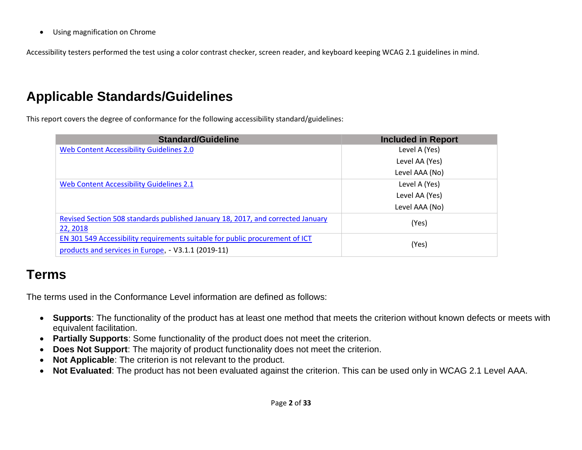• Using magnification on Chrome

Accessibility testers performed the test using a color contrast checker, screen reader, and keyboard keeping WCAG 2.1 guidelines in mind.

# **Applicable Standards/Guidelines**

This report covers the degree of conformance for the following accessibility standard/guidelines:

| <b>Standard/Guideline</b>                                                       | <b>Included in Report</b> |
|---------------------------------------------------------------------------------|---------------------------|
| Web Content Accessibility Guidelines 2.0                                        | Level A (Yes)             |
|                                                                                 | Level AA (Yes)            |
|                                                                                 | Level AAA (No)            |
| Web Content Accessibility Guidelines 2.1                                        | Level A (Yes)             |
|                                                                                 | Level AA (Yes)            |
|                                                                                 | Level AAA (No)            |
| Revised Section 508 standards published January 18, 2017, and corrected January | (Yes)                     |
| 22, 2018                                                                        |                           |
| EN 301 549 Accessibility requirements suitable for public procurement of ICT    | (Yes)                     |
| products and services in Europe, - V3.1.1 (2019-11)                             |                           |

# **Terms**

The terms used in the Conformance Level information are defined as follows:

- **Supports**: The functionality of the product has at least one method that meets the criterion without known defects or meets with equivalent facilitation.
- **Partially Supports**: Some functionality of the product does not meet the criterion.
- **Does Not Support**: The majority of product functionality does not meet the criterion.
- **Not Applicable:** The criterion is not relevant to the product.
- **Not Evaluated**: The product has not been evaluated against the criterion. This can be used only in WCAG 2.1 Level AAA.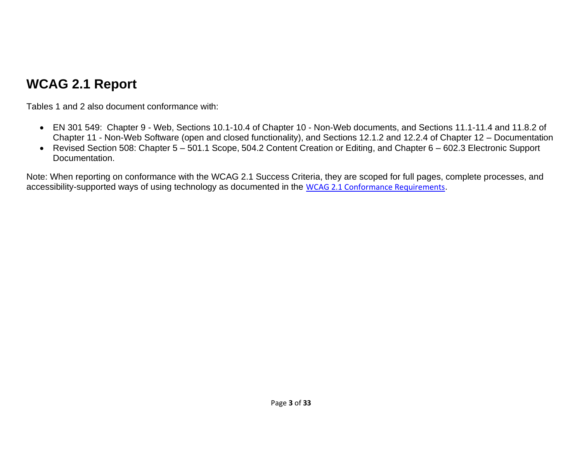# **WCAG 2.1 Report**

Tables 1 and 2 also document conformance with:

- EN 301 549: Chapter 9 Web, Sections 10.1-10.4 of Chapter 10 Non-Web documents, and Sections 11.1-11.4 and 11.8.2 of Chapter 11 - Non-Web Software (open and closed functionality), and Sections 12.1.2 and 12.2.4 of Chapter 12 – Documentation
- Revised Section 508: Chapter 5 501.1 Scope, 504.2 Content Creation or Editing, and Chapter 6 602.3 Electronic Support Documentation.

Note: When reporting on conformance with the WCAG 2.1 Success Criteria, they are scoped for full pages, complete processes, and accessibility-supported ways of using technology as documented in the [WCAG 2.1 Conformance Requirements](https://www.w3.org/TR/WCAG21/).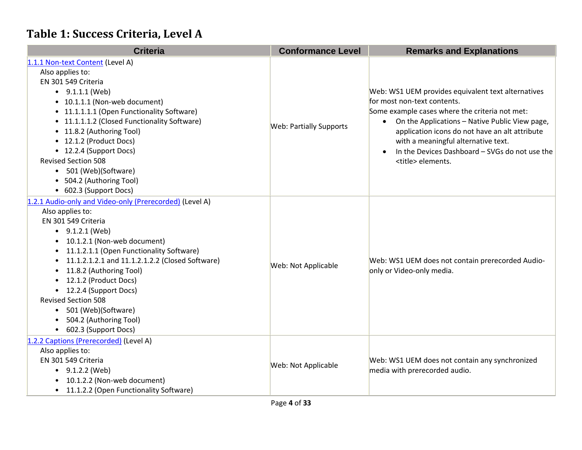# **Table 1: Success Criteria, Level A**

| <b>Criteria</b>                                         | <b>Conformance Level</b>       | <b>Remarks and Explanations</b>                                                                               |
|---------------------------------------------------------|--------------------------------|---------------------------------------------------------------------------------------------------------------|
| 1.1.1 Non-text Content (Level A)                        |                                |                                                                                                               |
| Also applies to:                                        |                                | Web: WS1 UEM provides equivalent text alternatives                                                            |
| EN 301 549 Criteria                                     |                                |                                                                                                               |
| $\bullet$ 9.1.1.1 (Web)                                 |                                |                                                                                                               |
| • 10.1.1.1 (Non-web document)                           |                                | for most non-text contents.                                                                                   |
| • 11.1.1.1.1 (Open Functionality Software)              |                                | Some example cases where the criteria not met:<br>On the Applications - Native Public View page,<br>$\bullet$ |
| • 11.1.1.1.2 (Closed Functionality Software)            | <b>Web: Partially Supports</b> |                                                                                                               |
| • 11.8.2 (Authoring Tool)                               |                                | application icons do not have an alt attribute                                                                |
| • 12.1.2 (Product Docs)                                 |                                | with a meaningful alternative text.                                                                           |
| • 12.2.4 (Support Docs)                                 |                                | In the Devices Dashboard - SVGs do not use the                                                                |
| <b>Revised Section 508</b>                              |                                | <title> elements.</title>                                                                                     |
| 501 (Web)(Software)                                     |                                |                                                                                                               |
| • 504.2 (Authoring Tool)                                |                                |                                                                                                               |
| • 602.3 (Support Docs)                                  |                                |                                                                                                               |
| 1.2.1 Audio-only and Video-only (Prerecorded) (Level A) |                                | Web: WS1 UEM does not contain prerecorded Audio-<br>only or Video-only media.                                 |
| Also applies to:                                        |                                |                                                                                                               |
| EN 301 549 Criteria                                     |                                |                                                                                                               |
| $\bullet$ 9.1.2.1 (Web)                                 |                                |                                                                                                               |
| 10.1.2.1 (Non-web document)                             |                                |                                                                                                               |
| 11.1.2.1.1 (Open Functionality Software)                |                                |                                                                                                               |
| 11.1.2.1.2.1 and 11.1.2.1.2.2 (Closed Software)         | Web: Not Applicable            |                                                                                                               |
| 11.8.2 (Authoring Tool)                                 |                                |                                                                                                               |
| 12.1.2 (Product Docs)                                   |                                |                                                                                                               |
| 12.2.4 (Support Docs)                                   |                                |                                                                                                               |
| <b>Revised Section 508</b>                              |                                |                                                                                                               |
| 501 (Web)(Software)<br>$\bullet$                        |                                |                                                                                                               |
| 504.2 (Authoring Tool)                                  |                                |                                                                                                               |
| • 602.3 (Support Docs)                                  |                                |                                                                                                               |
| 1.2.2 Captions (Prerecorded) (Level A)                  |                                |                                                                                                               |
| Also applies to:                                        |                                |                                                                                                               |
| EN 301 549 Criteria                                     | Web: Not Applicable            | Web: WS1 UEM does not contain any synchronized                                                                |
| $\bullet$ 9.1.2.2 (Web)                                 |                                | media with prerecorded audio.                                                                                 |
| 10.1.2.2 (Non-web document)                             |                                |                                                                                                               |
| 11.1.2.2 (Open Functionality Software)                  |                                |                                                                                                               |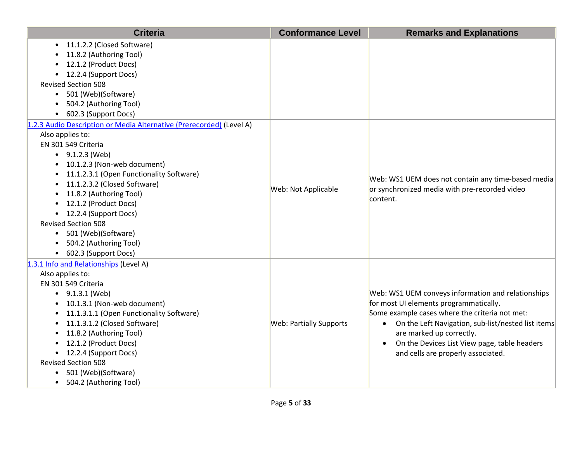| <b>Criteria</b>                                                                                                                                                                                                                                                                                                                                                                                                                                             | <b>Conformance Level</b>       | <b>Remarks and Explanations</b>                                                                                                                                                                                                                                                                                          |
|-------------------------------------------------------------------------------------------------------------------------------------------------------------------------------------------------------------------------------------------------------------------------------------------------------------------------------------------------------------------------------------------------------------------------------------------------------------|--------------------------------|--------------------------------------------------------------------------------------------------------------------------------------------------------------------------------------------------------------------------------------------------------------------------------------------------------------------------|
| • 11.1.2.2 (Closed Software)<br>11.8.2 (Authoring Tool)<br>12.1.2 (Product Docs)<br>• 12.2.4 (Support Docs)<br><b>Revised Section 508</b><br>• 501 (Web)(Software)<br>504.2 (Authoring Tool)<br>602.3 (Support Docs)                                                                                                                                                                                                                                        |                                |                                                                                                                                                                                                                                                                                                                          |
| 1.2.3 Audio Description or Media Alternative (Prerecorded) (Level A)<br>Also applies to:<br>EN 301 549 Criteria<br>$\bullet$ 9.1.2.3 (Web)<br>• 10.1.2.3 (Non-web document)<br>• 11.1.2.3.1 (Open Functionality Software)<br>• 11.1.2.3.2 (Closed Software)<br>• 11.8.2 (Authoring Tool)<br>• 12.1.2 (Product Docs)<br>• 12.2.4 (Support Docs)<br><b>Revised Section 508</b><br>• 501 (Web)(Software)<br>• 504.2 (Authoring Tool)<br>• 602.3 (Support Docs) | Web: Not Applicable            | Web: WS1 UEM does not contain any time-based media<br>or synchronized media with pre-recorded video<br>content.                                                                                                                                                                                                          |
| 1.3.1 Info and Relationships (Level A)<br>Also applies to:<br>EN 301 549 Criteria<br>$\bullet$ 9.1.3.1 (Web)<br>10.1.3.1 (Non-web document)<br>11.1.3.1.1 (Open Functionality Software)<br>11.1.3.1.2 (Closed Software)<br>$\bullet$<br>11.8.2 (Authoring Tool)<br>$\bullet$<br>• 12.1.2 (Product Docs)<br>• 12.2.4 (Support Docs)<br><b>Revised Section 508</b><br>501 (Web)(Software)<br>$\bullet$<br>• 504.2 (Authoring Tool)                            | <b>Web: Partially Supports</b> | Web: WS1 UEM conveys information and relationships<br>for most UI elements programmatically.<br>Some example cases where the criteria not met:<br>• On the Left Navigation, sub-list/nested list items<br>are marked up correctly.<br>On the Devices List View page, table headers<br>and cells are properly associated. |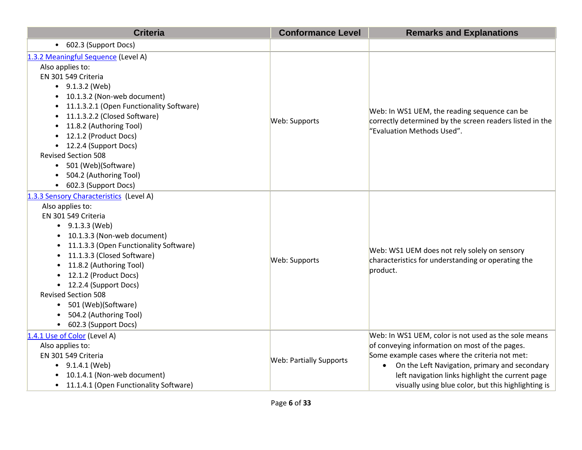| <b>Criteria</b>                                                                                                                                                                                                                                                                                                                                                                                                                                                             | <b>Conformance Level</b>       | <b>Remarks and Explanations</b>                                                                                                                                                                                                                                                                                                   |
|-----------------------------------------------------------------------------------------------------------------------------------------------------------------------------------------------------------------------------------------------------------------------------------------------------------------------------------------------------------------------------------------------------------------------------------------------------------------------------|--------------------------------|-----------------------------------------------------------------------------------------------------------------------------------------------------------------------------------------------------------------------------------------------------------------------------------------------------------------------------------|
| • 602.3 (Support Docs)                                                                                                                                                                                                                                                                                                                                                                                                                                                      |                                |                                                                                                                                                                                                                                                                                                                                   |
| 1.3.2 Meaningful Sequence (Level A)<br>Also applies to:<br>EN 301 549 Criteria<br>$\bullet$ 9.1.3.2 (Web)<br>10.1.3.2 (Non-web document)<br>$\bullet$<br>11.1.3.2.1 (Open Functionality Software)<br>$\bullet$<br>11.1.3.2.2 (Closed Software)<br>$\bullet$<br>11.8.2 (Authoring Tool)<br>$\bullet$<br>12.1.2 (Product Docs)<br>12.2.4 (Support Docs)<br><b>Revised Section 508</b><br>• 501 (Web)(Software)<br>504.2 (Authoring Tool)<br>602.3 (Support Docs)<br>$\bullet$ | Web: Supports                  | Web: In WS1 UEM, the reading sequence can be<br>correctly determined by the screen readers listed in the<br>"Evaluation Methods Used".                                                                                                                                                                                            |
| 1.3.3 Sensory Characteristics (Level A)<br>Also applies to:<br>EN 301 549 Criteria<br>$\bullet$ 9.1.3.3 (Web)<br>10.1.3.3 (Non-web document)<br>11.1.3.3 (Open Functionality Software)<br>11.1.3.3 (Closed Software)<br>11.8.2 (Authoring Tool)<br>12.1.2 (Product Docs)<br>• 12.2.4 (Support Docs)<br><b>Revised Section 508</b><br>• 501 (Web)(Software)<br>504.2 (Authoring Tool)<br>602.3 (Support Docs)<br>$\bullet$                                                   | Web: Supports                  | Web: WS1 UEM does not rely solely on sensory<br>characteristics for understanding or operating the<br>product.                                                                                                                                                                                                                    |
| 1.4.1 Use of Color (Level A)<br>Also applies to:<br>EN 301 549 Criteria<br>$\bullet$ 9.1.4.1 (Web)<br>10.1.4.1 (Non-web document)<br>11.1.4.1 (Open Functionality Software)<br>$\bullet$                                                                                                                                                                                                                                                                                    | <b>Web: Partially Supports</b> | Web: In WS1 UEM, color is not used as the sole means<br>of conveying information on most of the pages.<br>Some example cases where the criteria not met:<br>On the Left Navigation, primary and secondary<br>$\bullet$<br>left navigation links highlight the current page<br>visually using blue color, but this highlighting is |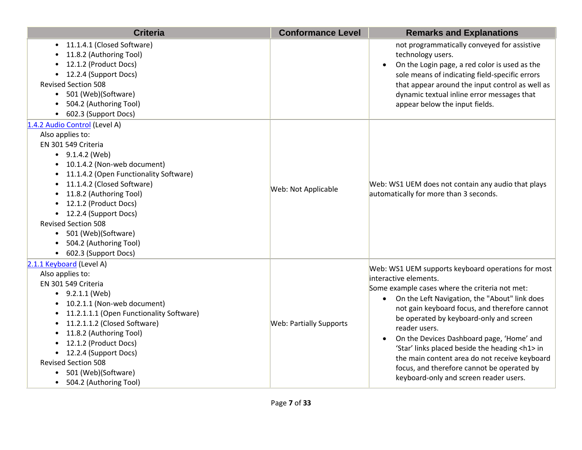| <b>Criteria</b>                                                                                                                                                                                                                                                                                                                                                                                                                          | <b>Conformance Level</b>       | <b>Remarks and Explanations</b>                                                                                                                                                                                                                                                                                                                                                                                                                                                                                                               |
|------------------------------------------------------------------------------------------------------------------------------------------------------------------------------------------------------------------------------------------------------------------------------------------------------------------------------------------------------------------------------------------------------------------------------------------|--------------------------------|-----------------------------------------------------------------------------------------------------------------------------------------------------------------------------------------------------------------------------------------------------------------------------------------------------------------------------------------------------------------------------------------------------------------------------------------------------------------------------------------------------------------------------------------------|
| • 11.1.4.1 (Closed Software)<br>11.8.2 (Authoring Tool)<br>12.1.2 (Product Docs)<br>• 12.2.4 (Support Docs)<br><b>Revised Section 508</b><br>501 (Web)(Software)<br>$\bullet$<br>504.2 (Authoring Tool)<br>602.3 (Support Docs)                                                                                                                                                                                                          |                                | not programmatically conveyed for assistive<br>technology users.<br>On the Login page, a red color is used as the<br>sole means of indicating field-specific errors<br>that appear around the input control as well as<br>dynamic textual inline error messages that<br>appear below the input fields.                                                                                                                                                                                                                                        |
| 1.4.2 Audio Control (Level A)<br>Also applies to:<br>EN 301 549 Criteria<br>$\bullet$ 9.1.4.2 (Web)<br>10.1.4.2 (Non-web document)<br>11.1.4.2 (Open Functionality Software)<br>11.1.4.2 (Closed Software)<br>11.8.2 (Authoring Tool)<br>• 12.1.2 (Product Docs)<br>• 12.2.4 (Support Docs)<br><b>Revised Section 508</b><br>501 (Web)(Software)<br>504.2 (Authoring Tool)<br>• 602.3 (Support Docs)                                     | Web: Not Applicable            | Web: WS1 UEM does not contain any audio that plays<br>automatically for more than 3 seconds.                                                                                                                                                                                                                                                                                                                                                                                                                                                  |
| 2.1.1 Keyboard (Level A)<br>Also applies to:<br>EN 301 549 Criteria<br>$\bullet$ 9.2.1.1 (Web)<br>10.2.1.1 (Non-web document)<br>$\bullet$<br>11.2.1.1.1 (Open Functionality Software)<br>$\bullet$<br>11.2.1.1.2 (Closed Software)<br>$\bullet$<br>11.8.2 (Authoring Tool)<br>$\bullet$<br>12.1.2 (Product Docs)<br>• 12.2.4 (Support Docs)<br><b>Revised Section 508</b><br>501 (Web)(Software)<br>504.2 (Authoring Tool)<br>$\bullet$ | <b>Web: Partially Supports</b> | Web: WS1 UEM supports keyboard operations for most<br>interactive elements.<br>Some example cases where the criteria not met:<br>• On the Left Navigation, the "About" link does<br>not gain keyboard focus, and therefore cannot<br>be operated by keyboard-only and screen<br>reader users.<br>On the Devices Dashboard page, 'Home' and<br>'Star' links placed beside the heading <h1> in<br/>the main content area do not receive keyboard<br/>focus, and therefore cannot be operated by<br/>keyboard-only and screen reader users.</h1> |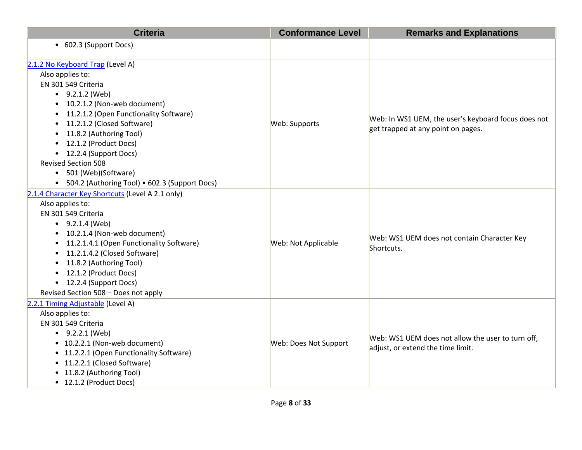| <b>Criteria</b>                                                                                                                                                                                                                                                                                                                                             | <b>Conformance Level</b> | <b>Remarks and Explanations</b>                                                           |
|-------------------------------------------------------------------------------------------------------------------------------------------------------------------------------------------------------------------------------------------------------------------------------------------------------------------------------------------------------------|--------------------------|-------------------------------------------------------------------------------------------|
| • 602.3 (Support Docs)                                                                                                                                                                                                                                                                                                                                      |                          |                                                                                           |
| 2.1.2 No Keyboard Trap (Level A)<br>Also applies to:<br>EN 301 549 Criteria<br>$-9.2.1.2$ (Web)<br>10.2.1.2 (Non-web document)<br>11.2.1.2 (Open Functionality Software)<br>11.2.1.2 (Closed Software)<br>11.8.2 (Authoring Tool)<br>12.1.2 (Product Docs)<br>• 12.2.4 (Support Docs)<br><b>Revised Section 508</b>                                         | Web: Supports            | Web: In WS1 UEM, the user's keyboard focus does not<br>get trapped at any point on pages. |
| • 501 (Web)(Software)<br>• 504.2 (Authoring Tool) • 602.3 (Support Docs)                                                                                                                                                                                                                                                                                    |                          |                                                                                           |
| 2.1.4 Character Key Shortcuts (Level A 2.1 only)<br>Also applies to:<br>EN 301 549 Criteria<br>$-9.2.1.4$ (Web)<br>• 10.2.1.4 (Non-web document)<br>• 11.2.1.4.1 (Open Functionality Software)<br>• 11.2.1.4.2 (Closed Software)<br>• 11.8.2 (Authoring Tool)<br>• 12.1.2 (Product Docs)<br>• 12.2.4 (Support Docs)<br>Revised Section 508 - Does not apply | Web: Not Applicable      | Web: WS1 UEM does not contain Character Key<br>Shortcuts.                                 |
| 2.2.1 Timing Adjustable (Level A)<br>Also applies to:<br>EN 301 549 Criteria<br>$-9.2.2.1$ (Web)<br>• 10.2.2.1 (Non-web document)<br>• 11.2.2.1 (Open Functionality Software)<br>• 11.2.2.1 (Closed Software)<br>• 11.8.2 (Authoring Tool)<br>• 12.1.2 (Product Docs)                                                                                       | Web: Does Not Support    | Web: WS1 UEM does not allow the user to turn off,<br>adjust, or extend the time limit.    |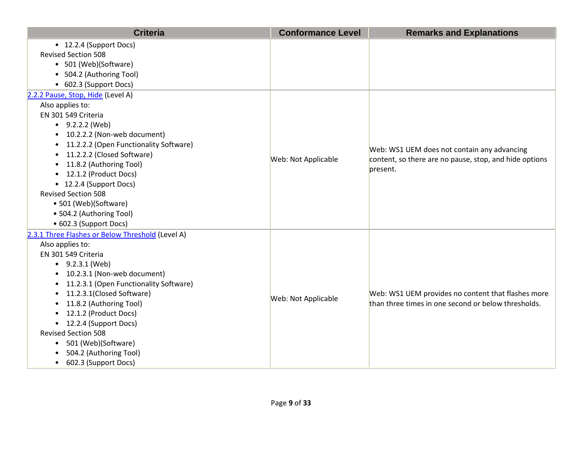| <b>Criteria</b>                                                                                                                                                                                                                                                                                                                                                                                                                                                        | <b>Conformance Level</b> | <b>Remarks and Explanations</b>                                                                                   |
|------------------------------------------------------------------------------------------------------------------------------------------------------------------------------------------------------------------------------------------------------------------------------------------------------------------------------------------------------------------------------------------------------------------------------------------------------------------------|--------------------------|-------------------------------------------------------------------------------------------------------------------|
| • 12.2.4 (Support Docs)<br><b>Revised Section 508</b><br>• 501 (Web)(Software)<br>• 504.2 (Authoring Tool)<br>• 602.3 (Support Docs)                                                                                                                                                                                                                                                                                                                                   |                          |                                                                                                                   |
| 2.2.2 Pause, Stop, Hide (Level A)<br>Also applies to:<br>EN 301 549 Criteria<br>$\bullet$ 9.2.2.2 (Web)<br>10.2.2.2 (Non-web document)<br>11.2.2.2 (Open Functionality Software)<br>11.2.2.2 (Closed Software)<br>$\bullet$<br>11.8.2 (Authoring Tool)<br>12.1.2 (Product Docs)<br>$\bullet$<br>• 12.2.4 (Support Docs)<br><b>Revised Section 508</b><br>• 501 (Web)(Software)<br>• 504.2 (Authoring Tool)<br>• 602.3 (Support Docs)                                   | Web: Not Applicable      | Web: WS1 UEM does not contain any advancing<br>content, so there are no pause, stop, and hide options<br>present. |
| 2.3.1 Three Flashes or Below Threshold (Level A)<br>Also applies to:<br>EN 301 549 Criteria<br>$\bullet$ 9.2.3.1 (Web)<br>10.2.3.1 (Non-web document)<br>11.2.3.1 (Open Functionality Software)<br>$\bullet$<br>11.2.3.1(Closed Software)<br>$\bullet$<br>11.8.2 (Authoring Tool)<br>12.1.2 (Product Docs)<br>• 12.2.4 (Support Docs)<br><b>Revised Section 508</b><br>501 (Web)(Software)<br>$\bullet$<br>504.2 (Authoring Tool)<br>602.3 (Support Docs)<br>$\bullet$ | Web: Not Applicable      | Web: WS1 UEM provides no content that flashes more<br>than three times in one second or below thresholds.         |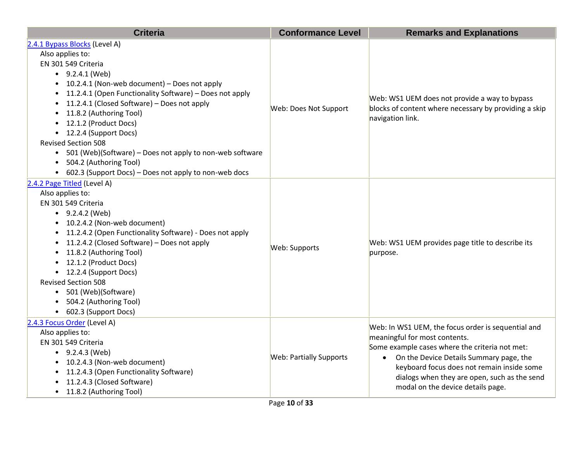| <b>Criteria</b>                                                                                                                                                                                                                                                                                                                                                                                                                                                                                                                                                                         | <b>Conformance Level</b>       | <b>Remarks and Explanations</b>                                                                                                                                                                                                                                                                                       |
|-----------------------------------------------------------------------------------------------------------------------------------------------------------------------------------------------------------------------------------------------------------------------------------------------------------------------------------------------------------------------------------------------------------------------------------------------------------------------------------------------------------------------------------------------------------------------------------------|--------------------------------|-----------------------------------------------------------------------------------------------------------------------------------------------------------------------------------------------------------------------------------------------------------------------------------------------------------------------|
| 2.4.1 Bypass Blocks (Level A)<br>Also applies to:<br>EN 301 549 Criteria<br>$-9.2.4.1$ (Web)<br>10.2.4.1 (Non-web document) - Does not apply<br>$\bullet$<br>11.2.4.1 (Open Functionality Software) - Does not apply<br>$\bullet$<br>11.2.4.1 (Closed Software) - Does not apply<br>$\bullet$<br>11.8.2 (Authoring Tool)<br>$\bullet$<br>12.1.2 (Product Docs)<br>$\bullet$<br>• 12.2.4 (Support Docs)<br><b>Revised Section 508</b><br>• 501 (Web)(Software) - Does not apply to non-web software<br>504.2 (Authoring Tool)<br>• 602.3 (Support Docs) – Does not apply to non-web docs | Web: Does Not Support          | Web: WS1 UEM does not provide a way to bypass<br>blocks of content where necessary by providing a skip<br>navigation link.                                                                                                                                                                                            |
| 2.4.2 Page Titled (Level A)<br>Also applies to:<br>EN 301 549 Criteria<br>$\bullet$ 9.2.4.2 (Web)<br>10.2.4.2 (Non-web document)<br>11.2.4.2 (Open Functionality Software) - Does not apply<br>$\bullet$<br>11.2.4.2 (Closed Software) – Does not apply<br>$\bullet$<br>11.8.2 (Authoring Tool)<br>$\bullet$<br>12.1.2 (Product Docs)<br>$\bullet$<br>• 12.2.4 (Support Docs)<br><b>Revised Section 508</b><br>• 501 (Web)(Software)<br>504.2 (Authoring Tool)<br>• 602.3 (Support Docs)                                                                                                | Web: Supports                  | Web: WS1 UEM provides page title to describe its<br>purpose.                                                                                                                                                                                                                                                          |
| 2.4.3 Focus Order (Level A)<br>Also applies to:<br>EN 301 549 Criteria<br>$\bullet$ 9.2.4.3 (Web)<br>10.2.4.3 (Non-web document)<br>11.2.4.3 (Open Functionality Software)<br>11.2.4.3 (Closed Software)<br>11.8.2 (Authoring Tool)                                                                                                                                                                                                                                                                                                                                                     | <b>Web: Partially Supports</b> | Web: In WS1 UEM, the focus order is sequential and<br>meaningful for most contents.<br>Some example cases where the criteria not met:<br>• On the Device Details Summary page, the<br>keyboard focus does not remain inside some<br>dialogs when they are open, such as the send<br>modal on the device details page. |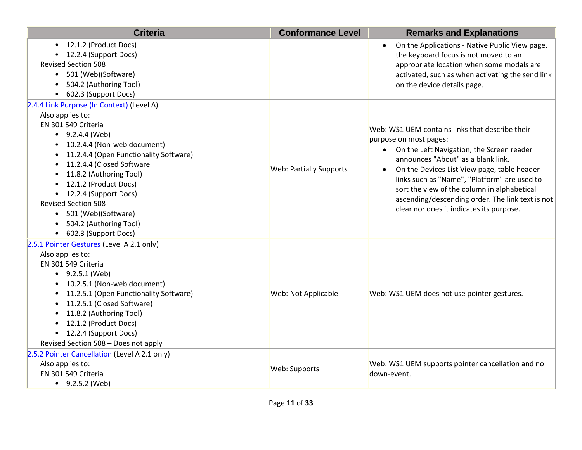| <b>Criteria</b>                                                                                                                                                                                                                                                                                                                                                                                                                | <b>Conformance Level</b>       | <b>Remarks and Explanations</b>                                                                                                                                                                                                                                                                                                                                                                              |
|--------------------------------------------------------------------------------------------------------------------------------------------------------------------------------------------------------------------------------------------------------------------------------------------------------------------------------------------------------------------------------------------------------------------------------|--------------------------------|--------------------------------------------------------------------------------------------------------------------------------------------------------------------------------------------------------------------------------------------------------------------------------------------------------------------------------------------------------------------------------------------------------------|
| • 12.1.2 (Product Docs)<br>• 12.2.4 (Support Docs)<br><b>Revised Section 508</b><br>501 (Web)(Software)<br>504.2 (Authoring Tool)<br>• 602.3 (Support Docs)                                                                                                                                                                                                                                                                    |                                | On the Applications - Native Public View page,<br>$\bullet$<br>the keyboard focus is not moved to an<br>appropriate location when some modals are<br>activated, such as when activating the send link<br>on the device details page.                                                                                                                                                                         |
| 2.4.4 Link Purpose (In Context) (Level A)<br>Also applies to:<br>EN 301 549 Criteria<br>$\bullet$ 9.2.4.4 (Web)<br>10.2.4.4 (Non-web document)<br>11.2.4.4 (Open Functionality Software)<br>11.2.4.4 (Closed Software<br>$\bullet$<br>11.8.2 (Authoring Tool)<br>12.1.2 (Product Docs)<br>• 12.2.4 (Support Docs)<br><b>Revised Section 508</b><br>• 501 (Web)(Software)<br>• 504.2 (Authoring Tool)<br>• 602.3 (Support Docs) | <b>Web: Partially Supports</b> | Web: WS1 UEM contains links that describe their<br>purpose on most pages:<br>• On the Left Navigation, the Screen reader<br>announces "About" as a blank link.<br>On the Devices List View page, table header<br>links such as "Name", "Platform" are used to<br>sort the view of the column in alphabetical<br>ascending/descending order. The link text is not<br>clear nor does it indicates its purpose. |
| 2.5.1 Pointer Gestures (Level A 2.1 only)<br>Also applies to:<br>EN 301 549 Criteria<br>$\bullet$ 9.2.5.1 (Web)<br>• 10.2.5.1 (Non-web document)<br>11.2.5.1 (Open Functionality Software)<br>11.2.5.1 (Closed Software)<br>$\bullet$<br>11.8.2 (Authoring Tool)<br>$\bullet$<br>12.1.2 (Product Docs)<br>$\bullet$<br>• 12.2.4 (Support Docs)<br>Revised Section 508 - Does not apply                                         | Web: Not Applicable            | Web: WS1 UEM does not use pointer gestures.                                                                                                                                                                                                                                                                                                                                                                  |
| 2.5.2 Pointer Cancellation (Level A 2.1 only)<br>Also applies to:<br>EN 301 549 Criteria<br>$-9.2.5.2$ (Web)                                                                                                                                                                                                                                                                                                                   | Web: Supports                  | Web: WS1 UEM supports pointer cancellation and no<br>down-event.                                                                                                                                                                                                                                                                                                                                             |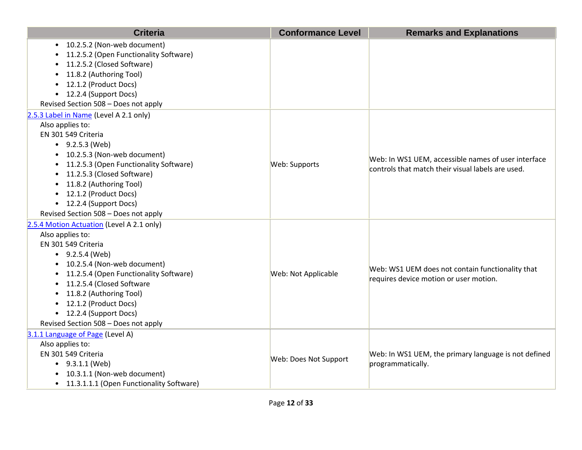| <b>Criteria</b>                                                                                                                                                                                                                                                                                                                                    | <b>Conformance Level</b> | <b>Remarks and Explanations</b>                                                                          |
|----------------------------------------------------------------------------------------------------------------------------------------------------------------------------------------------------------------------------------------------------------------------------------------------------------------------------------------------------|--------------------------|----------------------------------------------------------------------------------------------------------|
| • 10.2.5.2 (Non-web document)<br>11.2.5.2 (Open Functionality Software)<br>11.2.5.2 (Closed Software)<br>11.8.2 (Authoring Tool)<br>12.1.2 (Product Docs)<br>• 12.2.4 (Support Docs)<br>Revised Section 508 - Does not apply                                                                                                                       |                          |                                                                                                          |
| 2.5.3 Label in Name (Level A 2.1 only)<br>Also applies to:<br>EN 301 549 Criteria<br>$\bullet$ 9.2.5.3 (Web)<br>• 10.2.5.3 (Non-web document)<br>• 11.2.5.3 (Open Functionality Software)<br>11.2.5.3 (Closed Software)<br>• 11.8.2 (Authoring Tool)<br>• 12.1.2 (Product Docs)<br>• 12.2.4 (Support Docs)<br>Revised Section 508 - Does not apply | Web: Supports            | Web: In WS1 UEM, accessible names of user interface<br>controls that match their visual labels are used. |
| 2.5.4 Motion Actuation (Level A 2.1 only)<br>Also applies to:<br>EN 301 549 Criteria<br>$-9.2.5.4$ (Web)<br>• 10.2.5.4 (Non-web document)<br>11.2.5.4 (Open Functionality Software)<br>• 11.2.5.4 (Closed Software<br>• 11.8.2 (Authoring Tool)<br>• 12.1.2 (Product Docs)<br>• 12.2.4 (Support Docs)<br>Revised Section 508 - Does not apply      | Web: Not Applicable      | Web: WS1 UEM does not contain functionality that<br>requires device motion or user motion.               |
| 3.1.1 Language of Page (Level A)<br>Also applies to:<br>EN 301 549 Criteria<br>$\bullet$ 9.3.1.1 (Web)<br>• 10.3.1.1 (Non-web document)<br>• 11.3.1.1.1 (Open Functionality Software)                                                                                                                                                              | Web: Does Not Support    | Web: In WS1 UEM, the primary language is not defined<br>programmatically.                                |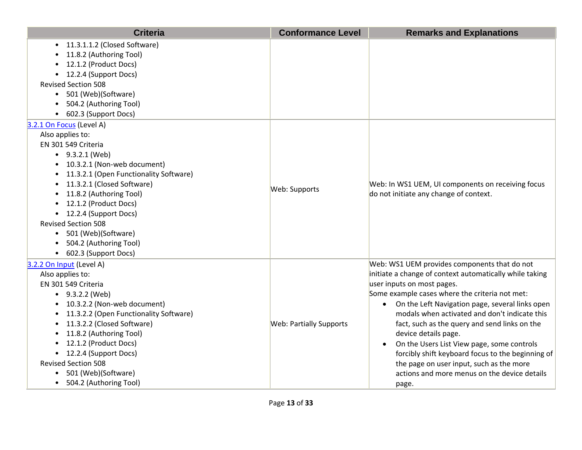| <b>Criteria</b>                                                                                                                                                                                                                                                                                                                                                                                                   | <b>Conformance Level</b>       | <b>Remarks and Explanations</b>                                                                                                                                                                                                                                                                                                                                                                                                                                                                                                                                                                        |
|-------------------------------------------------------------------------------------------------------------------------------------------------------------------------------------------------------------------------------------------------------------------------------------------------------------------------------------------------------------------------------------------------------------------|--------------------------------|--------------------------------------------------------------------------------------------------------------------------------------------------------------------------------------------------------------------------------------------------------------------------------------------------------------------------------------------------------------------------------------------------------------------------------------------------------------------------------------------------------------------------------------------------------------------------------------------------------|
| 11.3.1.1.2 (Closed Software)<br>11.8.2 (Authoring Tool)<br>12.1.2 (Product Docs)<br>• 12.2.4 (Support Docs)<br><b>Revised Section 508</b><br>501 (Web)(Software)<br>$\bullet$<br>504.2 (Authoring Tool)<br>602.3 (Support Docs)                                                                                                                                                                                   |                                |                                                                                                                                                                                                                                                                                                                                                                                                                                                                                                                                                                                                        |
| 3.2.1 On Focus (Level A)<br>Also applies to:<br>EN 301 549 Criteria<br>$-9.3.2.1$ (Web)<br>10.3.2.1 (Non-web document)<br>$\bullet$<br>11.3.2.1 (Open Functionality Software)<br>11.3.2.1 (Closed Software)<br>11.8.2 (Authoring Tool)<br>12.1.2 (Product Docs)<br>• 12.2.4 (Support Docs)<br><b>Revised Section 508</b><br>• 501 (Web)(Software)<br>504.2 (Authoring Tool)<br>• 602.3 (Support Docs)             | Web: Supports                  | Web: In WS1 UEM, UI components on receiving focus<br>do not initiate any change of context.                                                                                                                                                                                                                                                                                                                                                                                                                                                                                                            |
| 3.2.2 On Input (Level A)<br>Also applies to:<br>EN 301 549 Criteria<br>• $9.3.2.2$ (Web)<br>10.3.2.2 (Non-web document)<br>11.3.2.2 (Open Functionality Software)<br>11.3.2.2 (Closed Software)<br>$\bullet$<br>11.8.2 (Authoring Tool)<br>$\bullet$<br>12.1.2 (Product Docs)<br>$\bullet$<br>• 12.2.4 (Support Docs)<br><b>Revised Section 508</b><br>501 (Web)(Software)<br>504.2 (Authoring Tool)<br>$\bullet$ | <b>Web: Partially Supports</b> | Web: WS1 UEM provides components that do not<br>initiate a change of context automatically while taking<br>user inputs on most pages.<br>Some example cases where the criteria not met:<br>On the Left Navigation page, several links open<br>$\bullet$<br>modals when activated and don't indicate this<br>fact, such as the query and send links on the<br>device details page.<br>On the Users List View page, some controls<br>$\bullet$<br>forcibly shift keyboard focus to the beginning of<br>the page on user input, such as the more<br>actions and more menus on the device details<br>page. |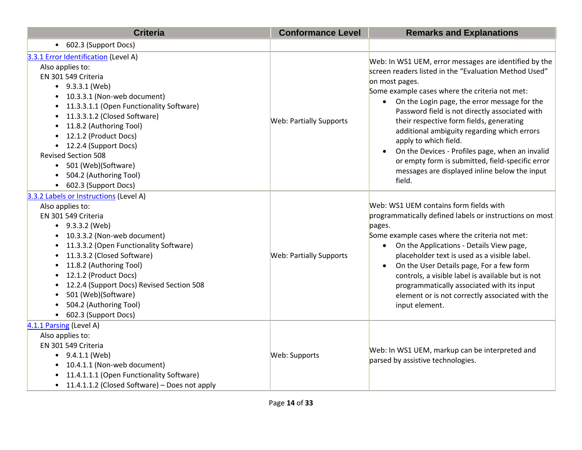| <b>Criteria</b>                                                                                                                                                                                                                                                                                                                                                                                                                                                   | <b>Conformance Level</b>       | <b>Remarks and Explanations</b>                                                                                                                                                                                                                                                                                                                                                                                                                                                                                                                                                                      |
|-------------------------------------------------------------------------------------------------------------------------------------------------------------------------------------------------------------------------------------------------------------------------------------------------------------------------------------------------------------------------------------------------------------------------------------------------------------------|--------------------------------|------------------------------------------------------------------------------------------------------------------------------------------------------------------------------------------------------------------------------------------------------------------------------------------------------------------------------------------------------------------------------------------------------------------------------------------------------------------------------------------------------------------------------------------------------------------------------------------------------|
| • 602.3 (Support Docs)                                                                                                                                                                                                                                                                                                                                                                                                                                            |                                |                                                                                                                                                                                                                                                                                                                                                                                                                                                                                                                                                                                                      |
| 3.3.1 Error Identification (Level A)<br>Also applies to:<br>EN 301 549 Criteria<br>$\bullet$ 9.3.3.1 (Web)<br>10.3.3.1 (Non-web document)<br>11.3.3.1.1 (Open Functionality Software)<br>$\bullet$<br>11.3.3.1.2 (Closed Software)<br>$\bullet$<br>11.8.2 (Authoring Tool)<br>$\bullet$<br>12.1.2 (Product Docs)<br>$\bullet$<br>12.2.4 (Support Docs)<br><b>Revised Section 508</b><br>• 501 (Web)(Software)<br>504.2 (Authoring Tool)<br>• 602.3 (Support Docs) | <b>Web: Partially Supports</b> | Web: In WS1 UEM, error messages are identified by the<br>screen readers listed in the "Evaluation Method Used"<br>on most pages.<br>Some example cases where the criteria not met:<br>On the Login page, the error message for the<br>$\bullet$<br>Password field is not directly associated with<br>their respective form fields, generating<br>additional ambiguity regarding which errors<br>apply to which field.<br>On the Devices - Profiles page, when an invalid<br>$\bullet$<br>or empty form is submitted, field-specific error<br>messages are displayed inline below the input<br>field. |
| 3.3.2 Labels or Instructions (Level A)<br>Also applies to:<br>EN 301 549 Criteria<br>$-9.3.3.2$ (Web)<br>10.3.3.2 (Non-web document)<br>11.3.3.2 (Open Functionality Software)<br>11.3.3.2 (Closed Software)<br>11.8.2 (Authoring Tool)<br>12.1.2 (Product Docs)<br>12.2.4 (Support Docs) Revised Section 508<br>501 (Web)(Software)<br>504.2 (Authoring Tool)<br>602.3 (Support Docs)<br>$\bullet$                                                               | <b>Web: Partially Supports</b> | Web: WS1 UEM contains form fields with<br>programmatically defined labels or instructions on most<br>pages.<br>Some example cases where the criteria not met:<br>On the Applications - Details View page,<br>placeholder text is used as a visible label.<br>On the User Details page, For a few form<br>$\bullet$<br>controls, a visible label is available but is not<br>programmatically associated with its input<br>element or is not correctly associated with the<br>input element.                                                                                                           |
| 4.1.1 Parsing (Level A)<br>Also applies to:<br>EN 301 549 Criteria<br>$\bullet$ 9.4.1.1 (Web)<br>10.4.1.1 (Non-web document)<br>11.4.1.1.1 (Open Functionality Software)<br>11.4.1.1.2 (Closed Software) – Does not apply<br>$\bullet$                                                                                                                                                                                                                            | Web: Supports                  | Web: In WS1 UEM, markup can be interpreted and<br>parsed by assistive technologies.                                                                                                                                                                                                                                                                                                                                                                                                                                                                                                                  |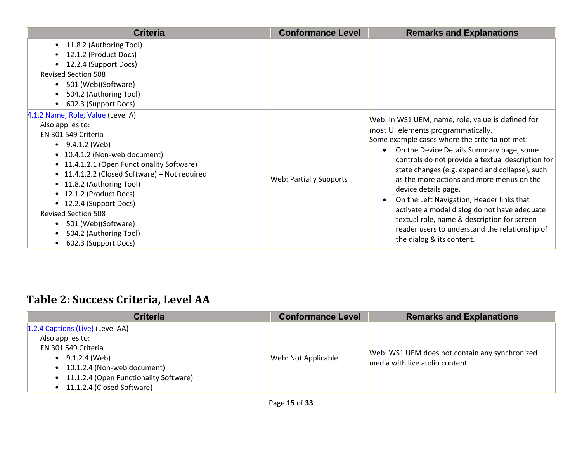| <b>Criteria</b>                                                                                                                                                                                                                                                                                                                                                                                                                                                           | <b>Conformance Level</b>       | <b>Remarks and Explanations</b>                                                                                                                                                                                                                                                                                                                                                                                                                                                                                                                                                                                        |
|---------------------------------------------------------------------------------------------------------------------------------------------------------------------------------------------------------------------------------------------------------------------------------------------------------------------------------------------------------------------------------------------------------------------------------------------------------------------------|--------------------------------|------------------------------------------------------------------------------------------------------------------------------------------------------------------------------------------------------------------------------------------------------------------------------------------------------------------------------------------------------------------------------------------------------------------------------------------------------------------------------------------------------------------------------------------------------------------------------------------------------------------------|
| 11.8.2 (Authoring Tool)<br>$\bullet$<br>12.1.2 (Product Docs)<br>$\bullet$<br>12.2.4 (Support Docs)<br><b>Revised Section 508</b><br>501 (Web)(Software)<br>$\bullet$<br>504.2 (Authoring Tool)<br>$\bullet$<br>602.3 (Support Docs)<br>$\bullet$                                                                                                                                                                                                                         |                                |                                                                                                                                                                                                                                                                                                                                                                                                                                                                                                                                                                                                                        |
| 4.1.2 Name, Role, Value (Level A)<br>Also applies to:<br>EN 301 549 Criteria<br>9.4.1.2 (Web)<br>$\bullet$<br>• 10.4.1.2 (Non-web document)<br>• 11.4.1.2.1 (Open Functionality Software)<br>• 11.4.1.2.2 (Closed Software) - Not required<br>• 11.8.2 (Authoring Tool)<br>• 12.1.2 (Product Docs)<br>12.2.4 (Support Docs)<br>$\bullet$<br><b>Revised Section 508</b><br>501 (Web)(Software)<br>$\bullet$<br>504.2 (Authoring Tool)<br>602.3 (Support Docs)<br>$\bullet$ | <b>Web: Partially Supports</b> | Web: In WS1 UEM, name, role, value is defined for<br>most UI elements programmatically.<br>Some example cases where the criteria not met:<br>On the Device Details Summary page, some<br>$\bullet$<br>controls do not provide a textual description for<br>state changes (e.g. expand and collapse), such<br>as the more actions and more menus on the<br>device details page.<br>On the Left Navigation, Header links that<br>$\bullet$<br>activate a modal dialog do not have adequate<br>textual role, name & description for screen<br>reader users to understand the relationship of<br>the dialog & its content. |

# **Table 2: Success Criteria, Level AA**

| <b>Criteria</b>                                                                                                                                                                                                   | <b>Conformance Level</b> | <b>Remarks and Explanations</b>                                                  |
|-------------------------------------------------------------------------------------------------------------------------------------------------------------------------------------------------------------------|--------------------------|----------------------------------------------------------------------------------|
| 1.2.4 Captions (Live) (Level AA)<br>Also applies to:<br>EN 301 549 Criteria<br>$\bullet$ 9.1.2.4 (Web)<br>10.1.2.4 (Non-web document)<br>• 11.1.2.4 (Open Functionality Software)<br>• 11.1.2.4 (Closed Software) | Web: Not Applicable      | Web: WS1 UEM does not contain any synchronized<br>media with live audio content. |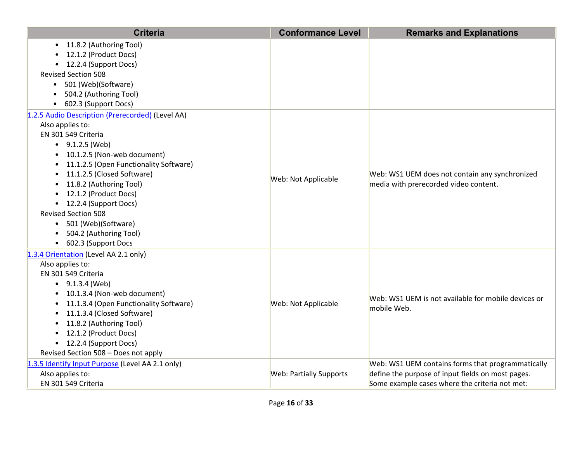| <b>Criteria</b>                                                                                                                                                                                                                                                                                                                                                                                                                                               | <b>Conformance Level</b>       | <b>Remarks and Explanations</b>                                                                                                                          |
|---------------------------------------------------------------------------------------------------------------------------------------------------------------------------------------------------------------------------------------------------------------------------------------------------------------------------------------------------------------------------------------------------------------------------------------------------------------|--------------------------------|----------------------------------------------------------------------------------------------------------------------------------------------------------|
| • 11.8.2 (Authoring Tool)<br>• 12.1.2 (Product Docs)<br>• 12.2.4 (Support Docs)<br><b>Revised Section 508</b><br>• 501 (Web)(Software)<br>504.2 (Authoring Tool)<br>602.3 (Support Docs)                                                                                                                                                                                                                                                                      |                                |                                                                                                                                                          |
| 1.2.5 Audio Description (Prerecorded) (Level AA)<br>Also applies to:<br>EN 301 549 Criteria<br>$\bullet$ 9.1.2.5 (Web)<br>10.1.2.5 (Non-web document)<br>$\bullet$<br>11.1.2.5 (Open Functionality Software)<br>$\bullet$<br>11.1.2.5 (Closed Software)<br>$\bullet$<br>11.8.2 (Authoring Tool)<br>12.1.2 (Product Docs)<br>• 12.2.4 (Support Docs)<br><b>Revised Section 508</b><br>• 501 (Web)(Software)<br>504.2 (Authoring Tool)<br>• 602.3 (Support Docs | Web: Not Applicable            | Web: WS1 UEM does not contain any synchronized<br>media with prerecorded video content.                                                                  |
| 1.3.4 Orientation (Level AA 2.1 only)<br>Also applies to:<br>EN 301 549 Criteria<br>$\bullet$ 9.1.3.4 (Web)<br>10.1.3.4 (Non-web document)<br>11.1.3.4 (Open Functionality Software)<br>11.1.3.4 (Closed Software)<br>11.8.2 (Authoring Tool)<br>12.1.2 (Product Docs)<br>$\bullet$<br>• 12.2.4 (Support Docs)<br>Revised Section 508 - Does not apply                                                                                                        | Web: Not Applicable            | Web: WS1 UEM is not available for mobile devices or<br>mobile Web.                                                                                       |
| 1.3.5 Identify Input Purpose (Level AA 2.1 only)<br>Also applies to:<br>EN 301 549 Criteria                                                                                                                                                                                                                                                                                                                                                                   | <b>Web: Partially Supports</b> | Web: WS1 UEM contains forms that programmatically<br>define the purpose of input fields on most pages.<br>Some example cases where the criteria not met: |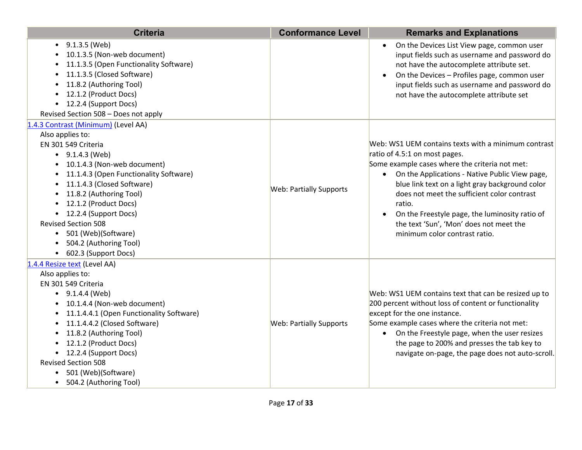| <b>Criteria</b>                                                                                                                                                                                                                                                                                                                                                                                                                   | <b>Conformance Level</b>       | <b>Remarks and Explanations</b>                                                                                                                                                                                                                                                                                                                                                                                                      |
|-----------------------------------------------------------------------------------------------------------------------------------------------------------------------------------------------------------------------------------------------------------------------------------------------------------------------------------------------------------------------------------------------------------------------------------|--------------------------------|--------------------------------------------------------------------------------------------------------------------------------------------------------------------------------------------------------------------------------------------------------------------------------------------------------------------------------------------------------------------------------------------------------------------------------------|
| $\bullet$ 9.1.3.5 (Web)<br>10.1.3.5 (Non-web document)<br>11.1.3.5 (Open Functionality Software)<br>11.1.3.5 (Closed Software)<br>11.8.2 (Authoring Tool)<br>12.1.2 (Product Docs)<br>12.2.4 (Support Docs)<br>$\bullet$<br>Revised Section 508 - Does not apply                                                                                                                                                                  |                                | On the Devices List View page, common user<br>$\bullet$<br>input fields such as username and password do<br>not have the autocomplete attribute set.<br>On the Devices - Profiles page, common user<br>$\bullet$<br>input fields such as username and password do<br>not have the autocomplete attribute set                                                                                                                         |
| 1.4.3 Contrast (Minimum) (Level AA)<br>Also applies to:<br>EN 301 549 Criteria<br>$\bullet$ 9.1.4.3 (Web)<br>10.1.4.3 (Non-web document)<br>11.1.4.3 (Open Functionality Software)<br>11.1.4.3 (Closed Software)<br>11.8.2 (Authoring Tool)<br>• 12.1.2 (Product Docs)<br>• 12.2.4 (Support Docs)<br><b>Revised Section 508</b><br>• 501 (Web)(Software)<br>504.2 (Authoring Tool)<br>• 602.3 (Support Docs)                      | <b>Web: Partially Supports</b> | Web: WS1 UEM contains texts with a minimum contrast<br>ratio of 4.5:1 on most pages.<br>Some example cases where the criteria not met:<br>• On the Applications - Native Public View page,<br>blue link text on a light gray background color<br>does not meet the sufficient color contrast<br>ratio.<br>On the Freestyle page, the luminosity ratio of<br>the text 'Sun', 'Mon' does not meet the<br>minimum color contrast ratio. |
| 1.4.4 Resize text (Level AA)<br>Also applies to:<br>EN 301 549 Criteria<br>$\bullet$ 9.1.4.4 (Web)<br>10.1.4.4 (Non-web document)<br>$\bullet$<br>11.1.4.4.1 (Open Functionality Software)<br>$\bullet$<br>11.1.4.4.2 (Closed Software)<br>$\bullet$<br>11.8.2 (Authoring Tool)<br>$\bullet$<br>12.1.2 (Product Docs)<br>• 12.2.4 (Support Docs)<br><b>Revised Section 508</b><br>501 (Web)(Software)<br>• 504.2 (Authoring Tool) | <b>Web: Partially Supports</b> | Web: WS1 UEM contains text that can be resized up to<br>200 percent without loss of content or functionality<br>except for the one instance.<br>Some example cases where the criteria not met:<br>On the Freestyle page, when the user resizes<br>$\bullet$<br>the page to 200% and presses the tab key to<br>navigate on-page, the page does not auto-scroll.                                                                       |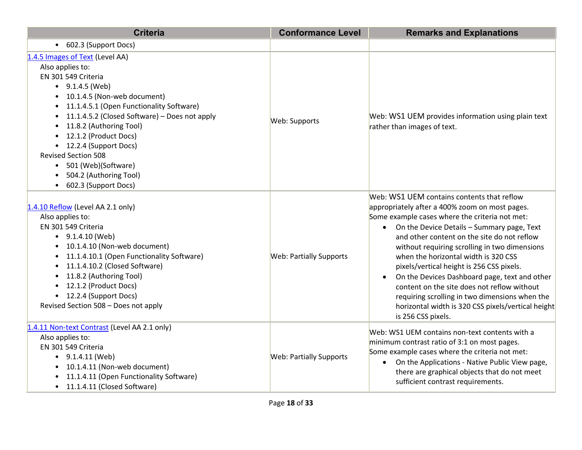| <b>Criteria</b>                                                                                                                                                                                                                                                                                                                                                                                                                                                                                                               | <b>Conformance Level</b>       | <b>Remarks and Explanations</b>                                                                                                                                                                                                                                                                                                                                                                                                                                                                                                                                                                                                           |
|-------------------------------------------------------------------------------------------------------------------------------------------------------------------------------------------------------------------------------------------------------------------------------------------------------------------------------------------------------------------------------------------------------------------------------------------------------------------------------------------------------------------------------|--------------------------------|-------------------------------------------------------------------------------------------------------------------------------------------------------------------------------------------------------------------------------------------------------------------------------------------------------------------------------------------------------------------------------------------------------------------------------------------------------------------------------------------------------------------------------------------------------------------------------------------------------------------------------------------|
| • 602.3 (Support Docs)                                                                                                                                                                                                                                                                                                                                                                                                                                                                                                        |                                |                                                                                                                                                                                                                                                                                                                                                                                                                                                                                                                                                                                                                                           |
| 1.4.5 Images of Text (Level AA)<br>Also applies to:<br>EN 301 549 Criteria<br>$\bullet$ 9.1.4.5 (Web)<br>10.1.4.5 (Non-web document)<br>11.1.4.5.1 (Open Functionality Software)<br>$\bullet$<br>11.1.4.5.2 (Closed Software) - Does not apply<br>$\bullet$<br>11.8.2 (Authoring Tool)<br>$\bullet$<br>12.1.2 (Product Docs)<br>$\bullet$<br>12.2.4 (Support Docs)<br>$\bullet$<br><b>Revised Section 508</b><br>501 (Web)(Software)<br>$\bullet$<br>504.2 (Authoring Tool)<br>$\bullet$<br>602.3 (Support Docs)<br>$\bullet$ | Web: Supports                  | Web: WS1 UEM provides information using plain text<br>rather than images of text.                                                                                                                                                                                                                                                                                                                                                                                                                                                                                                                                                         |
| 1.4.10 Reflow (Level AA 2.1 only)<br>Also applies to:<br>EN 301 549 Criteria<br>$\bullet$ 9.1.4.10 (Web)<br>10.1.4.10 (Non-web document)<br>$\bullet$<br>11.1.4.10.1 (Open Functionality Software)<br>$\bullet$<br>11.1.4.10.2 (Closed Software)<br>$\bullet$<br>11.8.2 (Authoring Tool)<br>$\bullet$<br>12.1.2 (Product Docs)<br>$\bullet$<br>12.2.4 (Support Docs)<br>$\bullet$<br>Revised Section 508 - Does not apply                                                                                                     | <b>Web: Partially Supports</b> | Web: WS1 UEM contains contents that reflow<br>appropriately after a 400% zoom on most pages.<br>Some example cases where the criteria not met:<br>On the Device Details - Summary page, Text<br>$\bullet$<br>and other content on the site do not reflow<br>without requiring scrolling in two dimensions<br>when the horizontal width is 320 CSS<br>pixels/vertical height is 256 CSS pixels.<br>On the Devices Dashboard page, text and other<br>$\bullet$<br>content on the site does not reflow without<br>requiring scrolling in two dimensions when the<br>horizontal width is 320 CSS pixels/vertical height<br>is 256 CSS pixels. |
| 1.4.11 Non-text Contrast (Level AA 2.1 only)<br>Also applies to:<br>EN 301 549 Criteria<br>$\bullet$ 9.1.4.11 (Web)<br>10.1.4.11 (Non-web document)<br>$\bullet$<br>11.1.4.11 (Open Functionality Software)<br>11.1.4.11 (Closed Software)<br>$\bullet$                                                                                                                                                                                                                                                                       | <b>Web: Partially Supports</b> | Web: WS1 UEM contains non-text contents with a<br>minimum contrast ratio of 3:1 on most pages.<br>Some example cases where the criteria not met:<br>On the Applications - Native Public View page,<br>$\bullet$<br>there are graphical objects that do not meet<br>sufficient contrast requirements.                                                                                                                                                                                                                                                                                                                                      |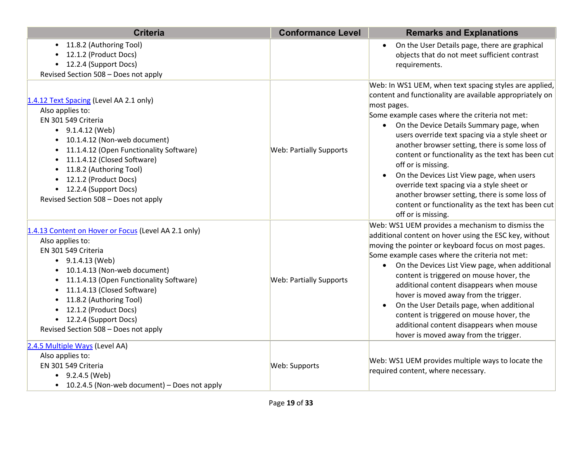| <b>Criteria</b>                                                                                                                                                                                                                                                                                                                                                             | <b>Conformance Level</b>       | <b>Remarks and Explanations</b>                                                                                                                                                                                                                                                                                                                                                                                                                                                                                                                                                                                                            |
|-----------------------------------------------------------------------------------------------------------------------------------------------------------------------------------------------------------------------------------------------------------------------------------------------------------------------------------------------------------------------------|--------------------------------|--------------------------------------------------------------------------------------------------------------------------------------------------------------------------------------------------------------------------------------------------------------------------------------------------------------------------------------------------------------------------------------------------------------------------------------------------------------------------------------------------------------------------------------------------------------------------------------------------------------------------------------------|
| • 11.8.2 (Authoring Tool)<br>12.1.2 (Product Docs)<br>• 12.2.4 (Support Docs)<br>Revised Section 508 - Does not apply                                                                                                                                                                                                                                                       |                                | On the User Details page, there are graphical<br>$\bullet$<br>objects that do not meet sufficient contrast<br>requirements.                                                                                                                                                                                                                                                                                                                                                                                                                                                                                                                |
| 1.4.12 Text Spacing (Level AA 2.1 only)<br>Also applies to:<br>EN 301 549 Criteria<br>$\bullet$ 9.1.4.12 (Web)<br>10.1.4.12 (Non-web document)<br>11.1.4.12 (Open Functionality Software)<br>$\bullet$<br>11.1.4.12 (Closed Software)<br>11.8.2 (Authoring Tool)<br>$\bullet$<br>• 12.1.2 (Product Docs)<br>• 12.2.4 (Support Docs)<br>Revised Section 508 - Does not apply | <b>Web: Partially Supports</b> | Web: In WS1 UEM, when text spacing styles are applied,<br>content and functionality are available appropriately on<br>most pages.<br>Some example cases where the criteria not met:<br>• On the Device Details Summary page, when<br>users override text spacing via a style sheet or<br>another browser setting, there is some loss of<br>content or functionality as the text has been cut<br>off or is missing.<br>On the Devices List View page, when users<br>override text spacing via a style sheet or<br>another browser setting, there is some loss of<br>content or functionality as the text has been cut<br>off or is missing. |
| 1.4.13 Content on Hover or Focus (Level AA 2.1 only)<br>Also applies to:<br>EN 301 549 Criteria<br>$\bullet$ 9.1.4.13 (Web)<br>10.1.4.13 (Non-web document)<br>11.1.4.13 (Open Functionality Software)<br>11.1.4.13 (Closed Software)<br>11.8.2 (Authoring Tool)<br>12.1.2 (Product Docs)<br>• 12.2.4 (Support Docs)<br>Revised Section 508 - Does not apply                | <b>Web: Partially Supports</b> | Web: WS1 UEM provides a mechanism to dismiss the<br>additional content on hover using the ESC key, without<br>moving the pointer or keyboard focus on most pages.<br>Some example cases where the criteria not met:<br>On the Devices List View page, when additional<br>$\bullet$<br>content is triggered on mouse hover, the<br>additional content disappears when mouse<br>hover is moved away from the trigger.<br>On the User Details page, when additional<br>$\bullet$<br>content is triggered on mouse hover, the<br>additional content disappears when mouse<br>hover is moved away from the trigger.                             |
| 2.4.5 Multiple Ways (Level AA)<br>Also applies to:<br>EN 301 549 Criteria<br>$\bullet$ 9.2.4.5 (Web)<br>• 10.2.4.5 (Non-web document) – Does not apply                                                                                                                                                                                                                      | Web: Supports                  | Web: WS1 UEM provides multiple ways to locate the<br>required content, where necessary.                                                                                                                                                                                                                                                                                                                                                                                                                                                                                                                                                    |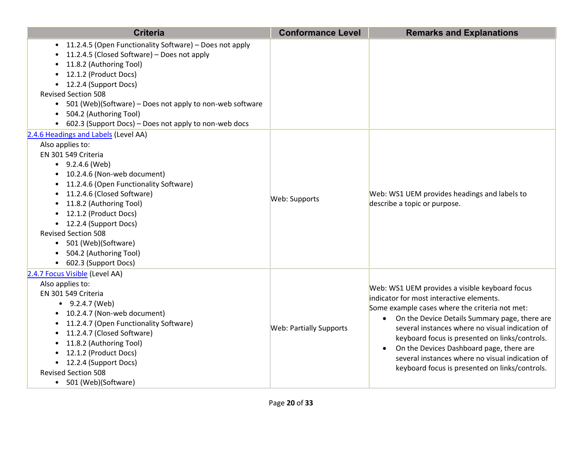| <b>Criteria</b>                                                                                                                                                                                                                                                                                                                                                                                               | <b>Conformance Level</b>       | <b>Remarks and Explanations</b>                                                                                                                                                                                                                                                                                                                                                                                                                       |
|---------------------------------------------------------------------------------------------------------------------------------------------------------------------------------------------------------------------------------------------------------------------------------------------------------------------------------------------------------------------------------------------------------------|--------------------------------|-------------------------------------------------------------------------------------------------------------------------------------------------------------------------------------------------------------------------------------------------------------------------------------------------------------------------------------------------------------------------------------------------------------------------------------------------------|
| 11.2.4.5 (Open Functionality Software) - Does not apply<br>$\bullet$<br>11.2.4.5 (Closed Software) - Does not apply<br>11.8.2 (Authoring Tool)<br>12.1.2 (Product Docs)<br>• 12.2.4 (Support Docs)<br><b>Revised Section 508</b><br>• 501 (Web)(Software) – Does not apply to non-web software<br>504.2 (Authoring Tool)<br>• 602.3 (Support Docs) – Does not apply to non-web docs                           |                                |                                                                                                                                                                                                                                                                                                                                                                                                                                                       |
| 2.4.6 Headings and Labels (Level AA)<br>Also applies to:<br>EN 301 549 Criteria<br>$\bullet$ 9.2.4.6 (Web)<br>• 10.2.4.6 (Non-web document)<br>11.2.4.6 (Open Functionality Software)<br>11.2.4.6 (Closed Software)<br>11.8.2 (Authoring Tool)<br>12.1.2 (Product Docs)<br>• 12.2.4 (Support Docs)<br><b>Revised Section 508</b><br>• 501 (Web)(Software)<br>504.2 (Authoring Tool)<br>• 602.3 (Support Docs) | Web: Supports                  | Web: WS1 UEM provides headings and labels to<br>describe a topic or purpose.                                                                                                                                                                                                                                                                                                                                                                          |
| 2.4.7 Focus Visible (Level AA)<br>Also applies to:<br>EN 301 549 Criteria<br>$-9.2.4.7$ (Web)<br>• 10.2.4.7 (Non-web document)<br>• 11.2.4.7 (Open Functionality Software)<br>• 11.2.4.7 (Closed Software)<br>11.8.2 (Authoring Tool)<br>• 12.1.2 (Product Docs)<br>• 12.2.4 (Support Docs)<br><b>Revised Section 508</b><br>501 (Web)(Software)<br>$\bullet$                                                 | <b>Web: Partially Supports</b> | Web: WS1 UEM provides a visible keyboard focus<br>indicator for most interactive elements.<br>Some example cases where the criteria not met:<br>• On the Device Details Summary page, there are<br>several instances where no visual indication of<br>keyboard focus is presented on links/controls.<br>On the Devices Dashboard page, there are<br>several instances where no visual indication of<br>keyboard focus is presented on links/controls. |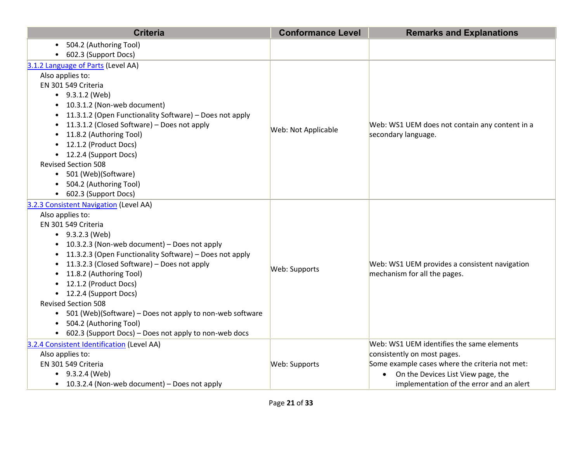| <b>Criteria</b>                                                       | <b>Conformance Level</b> | <b>Remarks and Explanations</b>                 |
|-----------------------------------------------------------------------|--------------------------|-------------------------------------------------|
| 504.2 (Authoring Tool)                                                |                          |                                                 |
| 602.3 (Support Docs)                                                  |                          |                                                 |
| 3.1.2 Language of Parts (Level AA)                                    |                          |                                                 |
| Also applies to:                                                      |                          |                                                 |
| EN 301 549 Criteria                                                   |                          |                                                 |
| $\bullet$ 9.3.1.2 (Web)                                               |                          |                                                 |
| 10.3.1.2 (Non-web document)                                           |                          |                                                 |
| 11.3.1.2 (Open Functionality Software) - Does not apply               |                          |                                                 |
| 11.3.1.2 (Closed Software) - Does not apply                           | Web: Not Applicable      | Web: WS1 UEM does not contain any content in a  |
| 11.8.2 (Authoring Tool)                                               |                          | secondary language.                             |
| 12.1.2 (Product Docs)                                                 |                          |                                                 |
| 12.2.4 (Support Docs)<br>$\bullet$                                    |                          |                                                 |
| <b>Revised Section 508</b>                                            |                          |                                                 |
| 501 (Web)(Software)<br>$\bullet$                                      |                          |                                                 |
| 504.2 (Authoring Tool)                                                |                          |                                                 |
| 602.3 (Support Docs)<br>$\bullet$                                     |                          |                                                 |
| 3.2.3 Consistent Navigation (Level AA)                                |                          |                                                 |
| Also applies to:                                                      |                          |                                                 |
| EN 301 549 Criteria                                                   |                          |                                                 |
| $-9.3.2.3$ (Web)                                                      |                          |                                                 |
| 10.3.2.3 (Non-web document) - Does not apply                          |                          |                                                 |
| 11.3.2.3 (Open Functionality Software) - Does not apply               |                          |                                                 |
| 11.3.2.3 (Closed Software) - Does not apply                           | Web: Supports            | Web: WS1 UEM provides a consistent navigation   |
| 11.8.2 (Authoring Tool)                                               |                          | mechanism for all the pages.                    |
| 12.1.2 (Product Docs)<br>12.2.4 (Support Docs)<br>$\bullet$           |                          |                                                 |
| <b>Revised Section 508</b>                                            |                          |                                                 |
| 501 (Web)(Software) - Does not apply to non-web software<br>$\bullet$ |                          |                                                 |
| 504.2 (Authoring Tool)                                                |                          |                                                 |
| 602.3 (Support Docs) - Does not apply to non-web docs                 |                          |                                                 |
| 3.2.4 Consistent Identification (Level AA)                            |                          | Web: WS1 UEM identifies the same elements       |
| Also applies to:                                                      |                          | consistently on most pages.                     |
| EN 301 549 Criteria                                                   | Web: Supports            | Some example cases where the criteria not met:  |
| $-9.3.2.4$ (Web)                                                      |                          | On the Devices List View page, the<br>$\bullet$ |
| • 10.3.2.4 (Non-web document) – Does not apply                        |                          | implementation of the error and an alert        |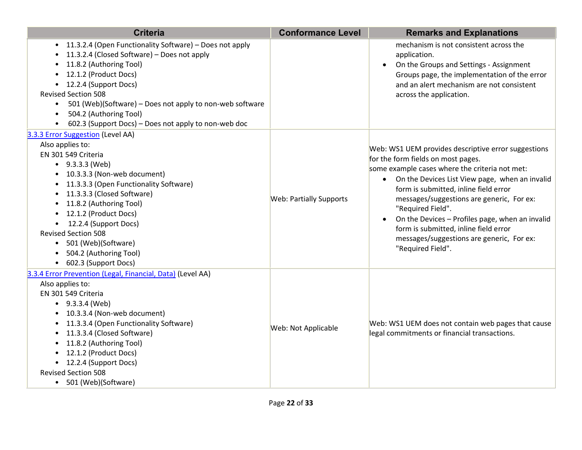| <b>Criteria</b>                                                                                                                                                                                                                                                                                                                                                                                       | <b>Conformance Level</b>       | <b>Remarks and Explanations</b>                                                                                                                                                                                                                                                                                                                                                                                                                                                                  |
|-------------------------------------------------------------------------------------------------------------------------------------------------------------------------------------------------------------------------------------------------------------------------------------------------------------------------------------------------------------------------------------------------------|--------------------------------|--------------------------------------------------------------------------------------------------------------------------------------------------------------------------------------------------------------------------------------------------------------------------------------------------------------------------------------------------------------------------------------------------------------------------------------------------------------------------------------------------|
| • 11.3.2.4 (Open Functionality Software) - Does not apply<br>11.3.2.4 (Closed Software) - Does not apply<br>11.8.2 (Authoring Tool)<br>12.1.2 (Product Docs)<br>• 12.2.4 (Support Docs)<br><b>Revised Section 508</b><br>501 (Web)(Software) - Does not apply to non-web software<br>$\bullet$<br>504.2 (Authoring Tool)<br>602.3 (Support Docs) - Does not apply to non-web doc                      |                                | mechanism is not consistent across the<br>application.<br>On the Groups and Settings - Assignment<br>$\bullet$<br>Groups page, the implementation of the error<br>and an alert mechanism are not consistent<br>across the application.                                                                                                                                                                                                                                                           |
| 3.3.3 Error Suggestion (Level AA)<br>Also applies to:<br>EN 301 549 Criteria<br>$-9.3.3.3$ (Web)<br>• 10.3.3.3 (Non-web document)<br>• 11.3.3.3 (Open Functionality Software)<br>• 11.3.3.3 (Closed Software)<br>11.8.2 (Authoring Tool)<br>12.1.2 (Product Docs)<br>12.2.4 (Support Docs)<br><b>Revised Section 508</b><br>• 501 (Web)(Software)<br>504.2 (Authoring Tool)<br>• 602.3 (Support Docs) | <b>Web: Partially Supports</b> | Web: WS1 UEM provides descriptive error suggestions<br>for the form fields on most pages.<br>some example cases where the criteria not met:<br>On the Devices List View page, when an invalid<br>$\bullet$<br>form is submitted, inline field error<br>messages/suggestions are generic, For ex:<br>"Required Field".<br>On the Devices - Profiles page, when an invalid<br>$\bullet$<br>form is submitted, inline field error<br>messages/suggestions are generic, For ex:<br>"Required Field". |
| 3.3.4 Error Prevention (Legal, Financial, Data) (Level AA)<br>Also applies to:<br>EN 301 549 Criteria<br>$-9.3.3.4$ (Web)<br>• 10.3.3.4 (Non-web document)<br>• 11.3.3.4 (Open Functionality Software)<br>• 11.3.3.4 (Closed Software)<br>• 11.8.2 (Authoring Tool)<br>• 12.1.2 (Product Docs)<br>• 12.2.4 (Support Docs)<br><b>Revised Section 508</b><br>• 501 (Web)(Software)                      | Web: Not Applicable            | Web: WS1 UEM does not contain web pages that cause<br>legal commitments or financial transactions.                                                                                                                                                                                                                                                                                                                                                                                               |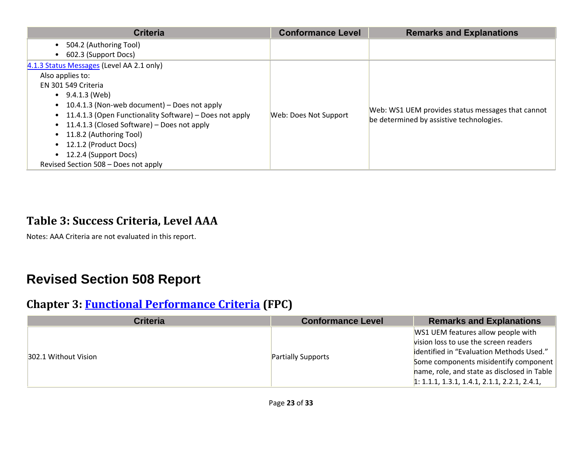| <b>Criteria</b>                                                      | <b>Conformance Level</b> | <b>Remarks and Explanations</b>                   |
|----------------------------------------------------------------------|--------------------------|---------------------------------------------------|
| 504.2 (Authoring Tool)<br>$\bullet$                                  |                          |                                                   |
| 602.3 (Support Docs)                                                 |                          |                                                   |
| 4.1.3 Status Messages (Level AA 2.1 only)                            |                          |                                                   |
| Also applies to:                                                     |                          |                                                   |
| EN 301 549 Criteria                                                  |                          |                                                   |
| $\bullet$ 9.4.1.3 (Web)                                              |                          |                                                   |
| 10.4.1.3 (Non-web document) – Does not apply<br>$\bullet$            |                          |                                                   |
| 11.4.1.3 (Open Functionality Software) – Does not apply<br>$\bullet$ | Web: Does Not Support    | Web: WS1 UEM provides status messages that cannot |
| 11.4.1.3 (Closed Software) – Does not apply<br>$\bullet$             |                          | be determined by assistive technologies.          |
| 11.8.2 (Authoring Tool)<br>$\bullet$                                 |                          |                                                   |
| 12.1.2 (Product Docs)                                                |                          |                                                   |
| 12.2.4 (Support Docs)                                                |                          |                                                   |
| Revised Section 508 - Does not apply                                 |                          |                                                   |

# **Table 3: Success Criteria, Level AAA**

Notes: AAA Criteria are not evaluated in this report.

# **Revised Section 508 Report**

#### **Chapter 3: [Functional Performance Criteria](https://www.access-board.gov/guidelines-and-standards/communications-and-it/about-the-ict-refresh/final-rule/text-of-the-standards-and-guidelines#302-functional-performance-criteria) (FPC)**

| <b>Criteria</b>      | <b>Conformance Level</b>  | <b>Remarks and Explanations</b>                |
|----------------------|---------------------------|------------------------------------------------|
| 302.1 Without Vision |                           | WS1 UEM features allow people with             |
|                      | <b>Partially Supports</b> | vision loss to use the screen readers          |
|                      |                           | identified in "Evaluation Methods Used."       |
|                      |                           | Some components misidentify component          |
|                      |                           | hame, role, and state as disclosed in Table    |
|                      |                           | $1: 1.1.1, 1.3.1, 1.4.1, 2.1.1, 2.2.1, 2.4.1,$ |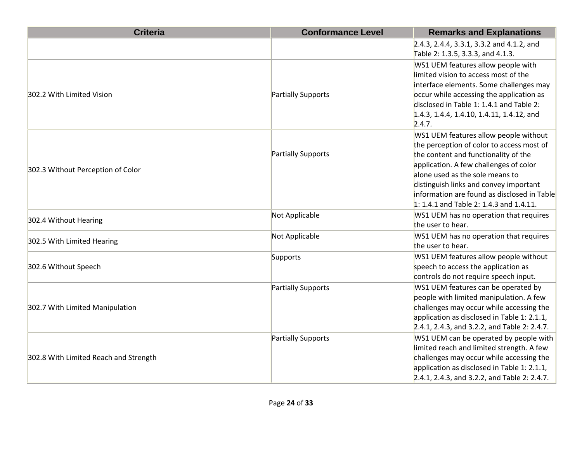| <b>Criteria</b>                       | <b>Conformance Level</b> | <b>Remarks and Explanations</b>              |
|---------------------------------------|--------------------------|----------------------------------------------|
|                                       |                          | 2.4.3, 2.4.4, 3.3.1, 3.3.2 and 4.1.2, and    |
|                                       |                          | Table 2: 1.3.5, 3.3.3, and 4.1.3.            |
|                                       |                          | WS1 UEM features allow people with           |
|                                       |                          | limited vision to access most of the         |
|                                       |                          | interface elements. Some challenges may      |
| 302.2 With Limited Vision             | Partially Supports       | occur while accessing the application as     |
|                                       |                          | disclosed in Table 1: 1.4.1 and Table 2:     |
|                                       |                          | 1.4.3, 1.4.4, 1.4.10, 1.4.11, 1.4.12, and    |
|                                       |                          | 2.4.7.                                       |
|                                       |                          | WS1 UEM features allow people without        |
|                                       |                          | the perception of color to access most of    |
|                                       | Partially Supports       | the content and functionality of the         |
| 302.3 Without Perception of Color     |                          | application. A few challenges of color       |
|                                       |                          | alone used as the sole means to              |
|                                       |                          | distinguish links and convey important       |
|                                       |                          | information are found as disclosed in Table  |
|                                       |                          | 1: 1.4.1 and Table 2: 1.4.3 and 1.4.11.      |
| 302.4 Without Hearing                 | Not Applicable           | WS1 UEM has no operation that requires       |
|                                       |                          | the user to hear.                            |
|                                       | Not Applicable           | WS1 UEM has no operation that requires       |
| 302.5 With Limited Hearing            |                          | the user to hear.                            |
|                                       | Supports                 | WS1 UEM features allow people without        |
| 302.6 Without Speech                  |                          | speech to access the application as          |
|                                       |                          | controls do not require speech input.        |
|                                       | Partially Supports       | WS1 UEM features can be operated by          |
|                                       |                          | people with limited manipulation. A few      |
| 302.7 With Limited Manipulation       |                          | challenges may occur while accessing the     |
|                                       |                          | application as disclosed in Table 1: 2.1.1,  |
|                                       |                          | 2.4.1, 2.4.3, and 3.2.2, and Table 2: 2.4.7. |
|                                       | Partially Supports       | WS1 UEM can be operated by people with       |
|                                       |                          | limited reach and limited strength. A few    |
| 302.8 With Limited Reach and Strength |                          | challenges may occur while accessing the     |
|                                       |                          | application as disclosed in Table 1: 2.1.1,  |
|                                       |                          | 2.4.1, 2.4.3, and 3.2.2, and Table 2: 2.4.7. |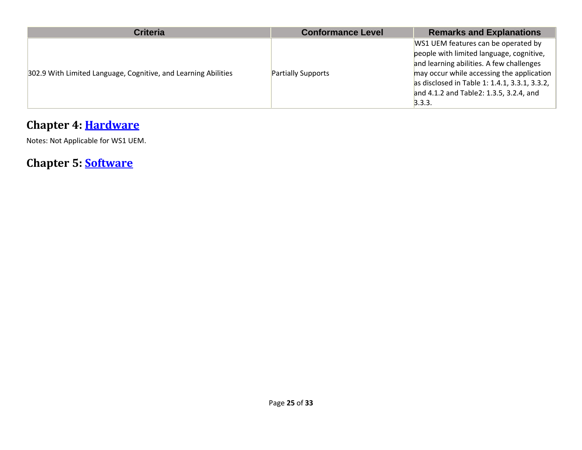| <b>Criteria</b>                                                | <b>Conformance Level</b>  | <b>Remarks and Explanations</b>                                                                                                                                                                                                                                                 |
|----------------------------------------------------------------|---------------------------|---------------------------------------------------------------------------------------------------------------------------------------------------------------------------------------------------------------------------------------------------------------------------------|
| 302.9 With Limited Language, Cognitive, and Learning Abilities | <b>Partially Supports</b> | WS1 UEM features can be operated by<br>people with limited language, cognitive,<br>and learning abilities. A few challenges<br>may occur while accessing the application<br>as disclosed in Table 1: 1.4.1, 3.3.1, 3.3.2,<br>and 4.1.2 and Table 2: 1.3.5, 3.2.4, and<br>3.3.3. |

# **Chapter 4: [Hardware](https://www.access-board.gov/guidelines-and-standards/communications-and-it/about-the-ict-refresh/final-rule/text-of-the-standards-and-guidelines#401-general)**

Notes: Not Applicable for WS1 UEM.

**Chapter 5: [Software](https://www.access-board.gov/guidelines-and-standards/communications-and-it/about-the-ict-refresh/final-rule/text-of-the-standards-and-guidelines#501-general)**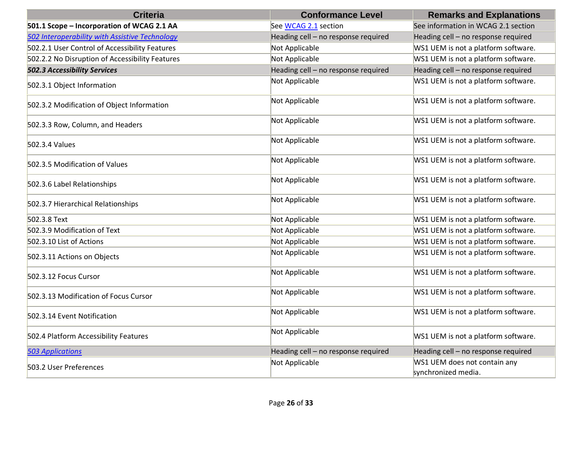| <b>Criteria</b>                                 | <b>Conformance Level</b>            | <b>Remarks and Explanations</b>                     |
|-------------------------------------------------|-------------------------------------|-----------------------------------------------------|
| 501.1 Scope - Incorporation of WCAG 2.1 AA      | See WCAG 2.1 section                | See information in WCAG 2.1 section                 |
| 502 Interoperability with Assistive Technology  | Heading cell - no response required | Heading cell - no response required                 |
| 502.2.1 User Control of Accessibility Features  | Not Applicable                      | WS1 UEM is not a platform software.                 |
| 502.2.2 No Disruption of Accessibility Features | Not Applicable                      | WS1 UEM is not a platform software.                 |
| <b>502.3 Accessibility Services</b>             | Heading cell - no response required | Heading cell - no response required                 |
| 502.3.1 Object Information                      | Not Applicable                      | WS1 UEM is not a platform software.                 |
| 502.3.2 Modification of Object Information      | Not Applicable                      | WS1 UEM is not a platform software.                 |
| 502.3.3 Row, Column, and Headers                | Not Applicable                      | WS1 UEM is not a platform software.                 |
| 502.3.4 Values                                  | Not Applicable                      | WS1 UEM is not a platform software.                 |
| 502.3.5 Modification of Values                  | Not Applicable                      | WS1 UEM is not a platform software.                 |
| 502.3.6 Label Relationships                     | Not Applicable                      | WS1 UEM is not a platform software.                 |
| 502.3.7 Hierarchical Relationships              | Not Applicable                      | WS1 UEM is not a platform software.                 |
| 502.3.8 Text                                    | Not Applicable                      | WS1 UEM is not a platform software.                 |
| 502.3.9 Modification of Text                    | Not Applicable                      | WS1 UEM is not a platform software.                 |
| 502.3.10 List of Actions                        | Not Applicable                      | WS1 UEM is not a platform software.                 |
| 502.3.11 Actions on Objects                     | Not Applicable                      | WS1 UEM is not a platform software.                 |
| 502.3.12 Focus Cursor                           | Not Applicable                      | WS1 UEM is not a platform software.                 |
| 502.3.13 Modification of Focus Cursor           | Not Applicable                      | WS1 UEM is not a platform software.                 |
| 502.3.14 Event Notification                     | Not Applicable                      | WS1 UEM is not a platform software.                 |
| 502.4 Platform Accessibility Features           | Not Applicable                      | WS1 UEM is not a platform software.                 |
| <b>503 Applications</b>                         | Heading cell - no response required | Heading cell - no response required                 |
| 503.2 User Preferences                          | Not Applicable                      | WS1 UEM does not contain any<br>synchronized media. |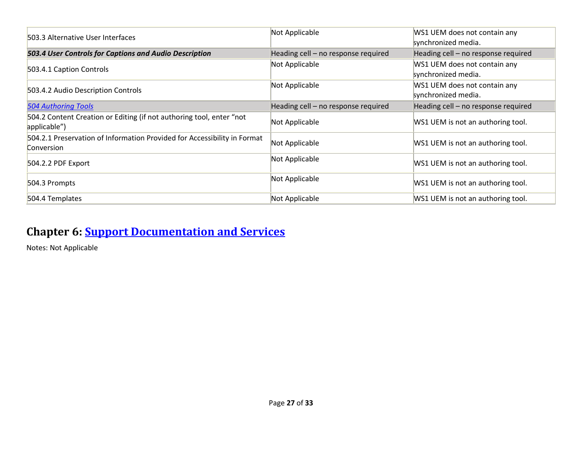| 503.3 Alternative User Interfaces                                                      | Not Applicable                      | WS1 UEM does not contain any<br>synchronized media. |
|----------------------------------------------------------------------------------------|-------------------------------------|-----------------------------------------------------|
| 503.4 User Controls for Captions and Audio Description                                 | Heading cell – no response required | Heading cell - no response required                 |
| 503.4.1 Caption Controls                                                               | Not Applicable                      | WS1 UEM does not contain any<br>synchronized media. |
| 503.4.2 Audio Description Controls                                                     | Not Applicable                      | WS1 UEM does not contain any<br>synchronized media. |
| <b>504 Authoring Tools</b>                                                             | Heading cell - no response required | Heading cell - no response required                 |
| 504.2 Content Creation or Editing (if not authoring tool, enter "not<br>applicable")   | Not Applicable                      | WS1 UEM is not an authoring tool.                   |
| 504.2.1 Preservation of Information Provided for Accessibility in Format<br>Conversion | Not Applicable                      | WS1 UEM is not an authoring tool.                   |
| 504.2.2 PDF Export                                                                     | Not Applicable                      | WS1 UEM is not an authoring tool.                   |
| 504.3 Prompts                                                                          | Not Applicable                      | WS1 UEM is not an authoring tool.                   |
| 504.4 Templates                                                                        | Not Applicable                      | WS1 UEM is not an authoring tool.                   |

#### **Chapter 6: [Support Documentation and Services](https://www.access-board.gov/guidelines-and-standards/communications-and-it/about-the-ict-refresh/final-rule/text-of-the-standards-and-guidelines#601-general)**

Notes: Not Applicable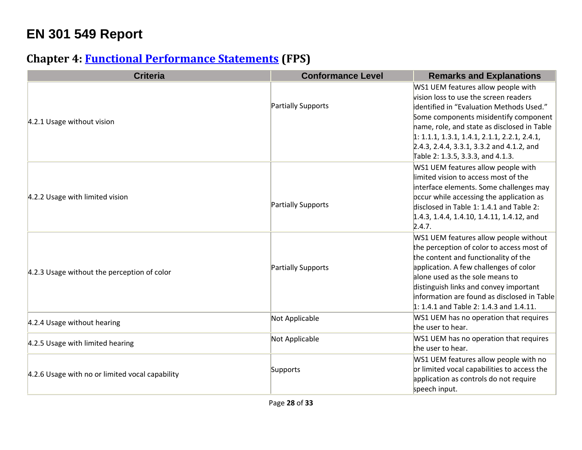# **EN 301 549 Report**

# **Chapter 4: [Functional Performance Statements](https://www.etsi.org/deliver/etsi_en/301500_301599/301549/03.01.01_60/en_301549v030101p.pdf#%5B%7B%22num%22%3A38%2C%22gen%22%3A0%7D%2C%7B%22name%22%3A%22XYZ%22%7D%2C54%2C747%2C0%5D) (FPS)**

| <b>Criteria</b>                                 | <b>Conformance Level</b>  | <b>Remarks and Explanations</b>                                                                                                                                                                                                                                                                                                                     |
|-------------------------------------------------|---------------------------|-----------------------------------------------------------------------------------------------------------------------------------------------------------------------------------------------------------------------------------------------------------------------------------------------------------------------------------------------------|
| 4.2.1 Usage without vision                      | Partially Supports        | WS1 UEM features allow people with<br>vision loss to use the screen readers<br>identified in "Evaluation Methods Used."<br>Some components misidentify component<br>hame, role, and state as disclosed in Table<br>$1: 1.1.1, 1.3.1, 1.4.1, 2.1.1, 2.2.1, 2.4.1,$<br>2.4.3, 2.4.4, 3.3.1, 3.3.2 and 4.1.2, and<br>Table 2: 1.3.5, 3.3.3, and 4.1.3. |
| 4.2.2 Usage with limited vision                 | Partially Supports        | WS1 UEM features allow people with<br>limited vision to access most of the<br>interface elements. Some challenges may<br>occur while accessing the application as<br>disclosed in Table 1: 1.4.1 and Table 2:<br>1.4.3, 1.4.4, 1.4.10, 1.4.11, 1.4.12, and<br>2.4.7.                                                                                |
| 4.2.3 Usage without the perception of color     | <b>Partially Supports</b> | WS1 UEM features allow people without<br>the perception of color to access most of<br>the content and functionality of the<br>application. A few challenges of color<br>alone used as the sole means to<br>distinguish links and convey important<br>information are found as disclosed in Table<br>1: 1.4.1 and Table 2: 1.4.3 and 1.4.11.         |
| 4.2.4 Usage without hearing                     | Not Applicable            | WS1 UEM has no operation that requires<br>the user to hear.                                                                                                                                                                                                                                                                                         |
| 4.2.5 Usage with limited hearing                | Not Applicable            | WS1 UEM has no operation that requires<br>the user to hear.                                                                                                                                                                                                                                                                                         |
| 4.2.6 Usage with no or limited vocal capability | Supports                  | WS1 UEM features allow people with no<br>or limited vocal capabilities to access the<br>application as controls do not require<br>speech input.                                                                                                                                                                                                     |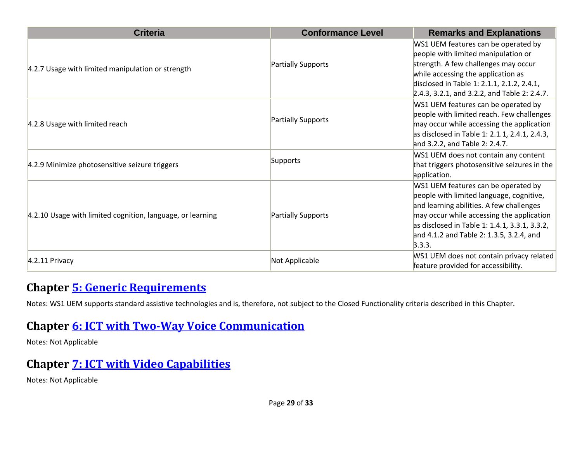| <b>Criteria</b>                                            | <b>Conformance Level</b> | <b>Remarks and Explanations</b>                                                                                                                                                                                                                                                 |
|------------------------------------------------------------|--------------------------|---------------------------------------------------------------------------------------------------------------------------------------------------------------------------------------------------------------------------------------------------------------------------------|
| 4.2.7 Usage with limited manipulation or strength          | Partially Supports       | WS1 UEM features can be operated by<br>people with limited manipulation or<br>strength. A few challenges may occur<br>while accessing the application as<br>disclosed in Table 1: 2.1.1, 2.1.2, 2.4.1,<br>2.4.3, 3.2.1, and 3.2.2, and Table 2: 2.4.7.                          |
| 4.2.8 Usage with limited reach                             | Partially Supports       | WS1 UEM features can be operated by<br>people with limited reach. Few challenges<br>may occur while accessing the application<br>as disclosed in Table 1: 2.1.1, 2.4.1, 2.4.3,<br>and 3.2.2, and Table 2: 2.4.7.                                                                |
| 4.2.9 Minimize photosensitive seizure triggers             | Supports                 | WS1 UEM does not contain any content<br>that triggers photosensitive seizures in the<br>application.                                                                                                                                                                            |
| 4.2.10 Usage with limited cognition, language, or learning | Partially Supports       | WS1 UEM features can be operated by<br>people with limited language, cognitive,<br>and learning abilities. A few challenges<br>may occur while accessing the application<br>as disclosed in Table 1: 1.4.1, 3.3.1, 3.3.2,<br>and 4.1.2 and Table 2: 1.3.5, 3.2.4, and<br>3.3.3. |
| 4.2.11 Privacy                                             | Not Applicable           | WS1 UEM does not contain privacy related<br>feature provided for accessibility.                                                                                                                                                                                                 |

#### **Chapter [5: Generic Requirements](https://www.etsi.org/deliver/etsi_en/301500_301599/301549/03.01.01_60/en_301549v030101p.pdf#%5B%7B%22num%22%3A45%2C%22gen%22%3A0%7D%2C%7B%22name%22%3A%22XYZ%22%7D%2C54%2C747%2C0%5D)**

Notes: WS1 UEM supports standard assistive technologies and is, therefore, not subject to the Closed Functionality criteria described in this Chapter.

#### **Chapter [6: ICT with Two-Way Voice Communication](https://www.etsi.org/deliver/etsi_en/301500_301599/301549/03.01.01_60/en_301549v030101p.pdf#%5B%7B%22num%22%3A60%2C%22gen%22%3A0%7D%2C%7B%22name%22%3A%22XYZ%22%7D%2C54%2C747%2C0%5D)**

Notes: Not Applicable

# **Chapter [7: ICT with Video Capabilities](https://www.etsi.org/deliver/etsi_en/301500_301599/301549/03.01.01_60/en_301549v030101p.pdf#%5B%7B%22num%22%3A70%2C%22gen%22%3A0%7D%2C%7B%22name%22%3A%22XYZ%22%7D%2C54%2C747%2C0%5D)**

Notes: Not Applicable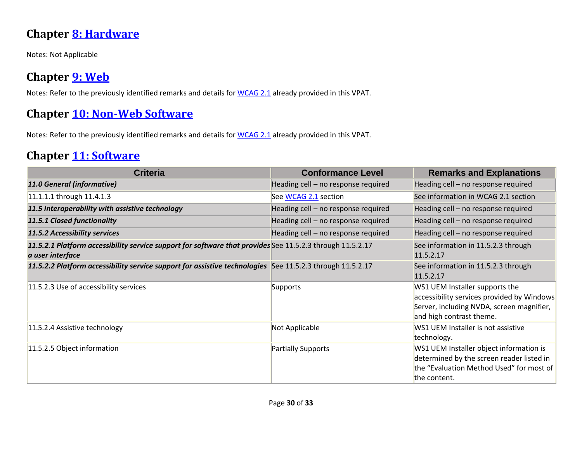#### **Chapter [8: Hardware](https://www.etsi.org/deliver/etsi_en/301500_301599/301549/03.01.01_60/en_301549v030101p.pdf#%5B%7B%22num%22%3A74%2C%22gen%22%3A0%7D%2C%7B%22name%22%3A%22XYZ%22%7D%2C54%2C747%2C0%5D)**

Notes: Not Applicable

#### **Chapter [9: Web](https://www.etsi.org/deliver/etsi_en/301500_301599/301549/03.01.01_60/en_301549v030101p.pdf#%5B%7B%22num%22%3A113%2C%22gen%22%3A0%7D%2C%7B%22name%22%3A%22XYZ%22%7D%2C54%2C747%2C0%5D)**

Notes: Refer to the previously identified remarks and details for [WCAG 2.1](file:///C:/Users/dineshkumar.ti/OneDrive%20-%20HCL%20Technologies%20Ltd/All%20Files/VMWare/Scenarios_Schedule/VPAT2.4RevINT--February2020.doc%23_WCAG_2.x_Report) already provided in this VPAT.

#### **Chapter [10: Non-Web Software](https://www.etsi.org/deliver/etsi_en/301500_301599/301549/03.01.01_60/en_301549v030101p.pdf#%5B%7B%22num%22%3A127%2C%22gen%22%3A0%7D%2C%7B%22name%22%3A%22XYZ%22%7D%2C54%2C747%2C0%5D)**

Notes: Refer to the previously identified remarks and details for [WCAG 2.1](file:///C:/Users/dineshkumar.ti/OneDrive%20-%20HCL%20Technologies%20Ltd/All%20Files/VMWare/Scenarios_Schedule/VPAT2.4RevINT--February2020.doc%23_WCAG_2.x_Report) already provided in this VPAT.

#### **Chapter [11: Software](https://www.etsi.org/deliver/etsi_en/301500_301599/301549/03.01.01_60/en_301549v030101p.pdf#%5B%7B%22num%22%3A149%2C%22gen%22%3A0%7D%2C%7B%22name%22%3A%22XYZ%22%7D%2C54%2C747%2C0%5D)**

| <b>Criteria</b>                                                                                                               | <b>Conformance Level</b>            | <b>Remarks and Explanations</b>                                                                                                                       |
|-------------------------------------------------------------------------------------------------------------------------------|-------------------------------------|-------------------------------------------------------------------------------------------------------------------------------------------------------|
| 11.0 General (informative)                                                                                                    | Heading cell - no response required | Heading cell - no response required                                                                                                                   |
| 11.1.1.1 through 11.4.1.3                                                                                                     | See WCAG 2.1 section                | See information in WCAG 2.1 section                                                                                                                   |
| 11.5 Interoperability with assistive technology                                                                               | Heading cell - no response required | Heading cell - no response required                                                                                                                   |
| 11.5.1 Closed functionality                                                                                                   | Heading cell - no response required | Heading cell - no response required                                                                                                                   |
| 11.5.2 Accessibility services                                                                                                 | Heading cell - no response required | Heading cell - no response required                                                                                                                   |
| 11.5.2.1 Platform accessibility service support for software that provides See 11.5.2.3 through 11.5.2.17<br>a user interface |                                     | See information in 11.5.2.3 through<br>11.5.2.17                                                                                                      |
| 11.5.2.2 Platform accessibility service support for assistive technologies See 11.5.2.3 through 11.5.2.17                     |                                     | See information in 11.5.2.3 through<br>11.5.2.17                                                                                                      |
| 11.5.2.3 Use of accessibility services                                                                                        | Supports                            | WS1 UEM Installer supports the<br>accessibility services provided by Windows<br>Server, including NVDA, screen magnifier,<br>and high contrast theme. |
| 11.5.2.4 Assistive technology                                                                                                 | Not Applicable                      | WS1 UEM Installer is not assistive<br>technology.                                                                                                     |
| 11.5.2.5 Object information                                                                                                   | Partially Supports                  | WS1 UEM Installer object information is<br>determined by the screen reader listed in<br>the "Evaluation Method Used" for most of<br>the content.      |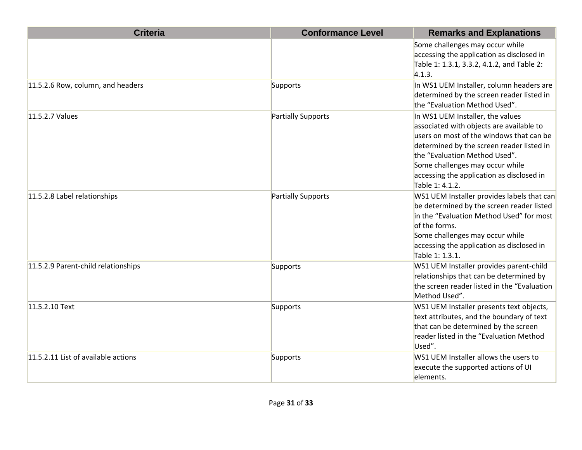| <b>Criteria</b>                     | <b>Conformance Level</b> | <b>Remarks and Explanations</b>                                                                                                                                                                                                                                                                           |
|-------------------------------------|--------------------------|-----------------------------------------------------------------------------------------------------------------------------------------------------------------------------------------------------------------------------------------------------------------------------------------------------------|
|                                     |                          | Some challenges may occur while<br>accessing the application as disclosed in<br>Table 1: 1.3.1, 3.3.2, 4.1.2, and Table 2:<br>4.1.3.                                                                                                                                                                      |
| 11.5.2.6 Row, column, and headers   | Supports                 | In WS1 UEM Installer, column headers are<br>determined by the screen reader listed in<br>the "Evaluation Method Used".                                                                                                                                                                                    |
| 11.5.2.7 Values                     | Partially Supports       | In WS1 UEM Installer, the values<br>associated with objects are available to<br>users on most of the windows that can be<br>determined by the screen reader listed in<br>the "Evaluation Method Used".<br>Some challenges may occur while<br>accessing the application as disclosed in<br>Table 1: 4.1.2. |
| 11.5.2.8 Label relationships        | Partially Supports       | WS1 UEM Installer provides labels that can<br>be determined by the screen reader listed<br>in the "Evaluation Method Used" for most<br>of the forms.<br>Some challenges may occur while<br>accessing the application as disclosed in<br>Table 1: 1.3.1.                                                   |
| 11.5.2.9 Parent-child relationships | Supports                 | WS1 UEM Installer provides parent-child<br>relationships that can be determined by<br>the screen reader listed in the "Evaluation<br>Method Used".                                                                                                                                                        |
| 11.5.2.10 Text                      | Supports                 | WS1 UEM Installer presents text objects,<br>text attributes, and the boundary of text<br>that can be determined by the screen<br>reader listed in the "Evaluation Method<br>Used".                                                                                                                        |
| 11.5.2.11 List of available actions | Supports                 | WS1 UEM Installer allows the users to<br>execute the supported actions of UI<br>elements.                                                                                                                                                                                                                 |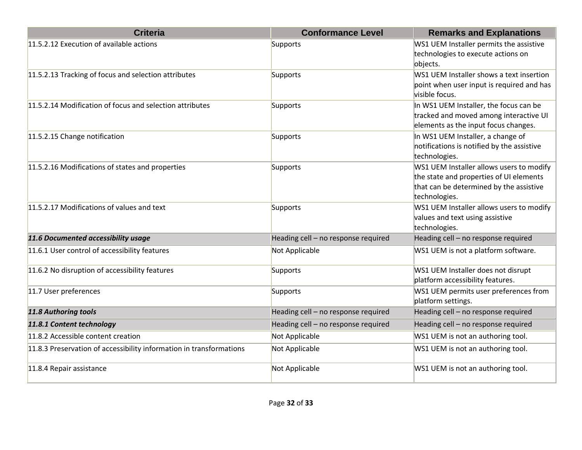| <b>Criteria</b>                                                     | <b>Conformance Level</b>            | <b>Remarks and Explanations</b>                                                                                                                 |
|---------------------------------------------------------------------|-------------------------------------|-------------------------------------------------------------------------------------------------------------------------------------------------|
| 11.5.2.12 Execution of available actions                            | Supports                            | WS1 UEM Installer permits the assistive<br>technologies to execute actions on<br>objects.                                                       |
| 11.5.2.13 Tracking of focus and selection attributes                | Supports                            | WS1 UEM Installer shows a text insertion<br>point when user input is required and has<br>visible focus.                                         |
| 11.5.2.14 Modification of focus and selection attributes            | Supports                            | In WS1 UEM Installer, the focus can be<br>tracked and moved among interactive UI<br>elements as the input focus changes.                        |
| 11.5.2.15 Change notification                                       | Supports                            | In WS1 UEM Installer, a change of<br>notifications is notified by the assistive<br>technologies.                                                |
| 11.5.2.16 Modifications of states and properties                    | Supports                            | WS1 UEM Installer allows users to modify<br>the state and properties of UI elements<br>that can be determined by the assistive<br>technologies. |
| 11.5.2.17 Modifications of values and text                          | Supports                            | WS1 UEM Installer allows users to modify<br>values and text using assistive<br>technologies.                                                    |
| 11.6 Documented accessibility usage                                 | Heading cell - no response required | Heading cell - no response required                                                                                                             |
| 11.6.1 User control of accessibility features                       | Not Applicable                      | WS1 UEM is not a platform software.                                                                                                             |
| 11.6.2 No disruption of accessibility features                      | Supports                            | WS1 UEM Installer does not disrupt<br>platform accessibility features.                                                                          |
| 11.7 User preferences                                               | Supports                            | WS1 UEM permits user preferences from<br>platform settings.                                                                                     |
| 11.8 Authoring tools                                                | Heading cell - no response required | Heading cell - no response required                                                                                                             |
| 11.8.1 Content technology                                           | Heading cell - no response required | Heading cell - no response required                                                                                                             |
| 11.8.2 Accessible content creation                                  | Not Applicable                      | WS1 UEM is not an authoring tool.                                                                                                               |
| 11.8.3 Preservation of accessibility information in transformations | Not Applicable                      | WS1 UEM is not an authoring tool.                                                                                                               |
| 11.8.4 Repair assistance                                            | Not Applicable                      | WS1 UEM is not an authoring tool.                                                                                                               |